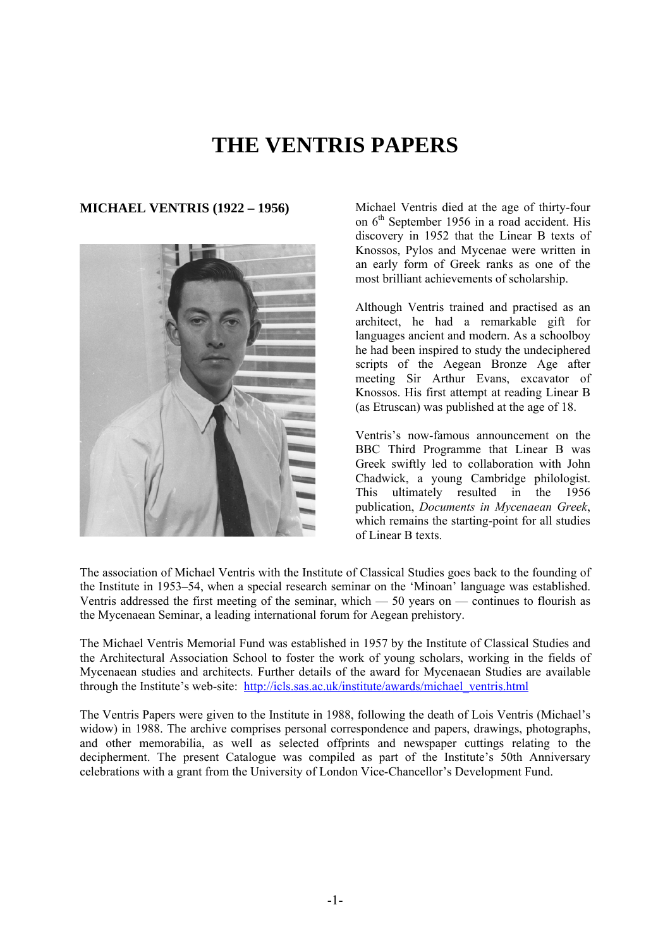# **THE VENTRIS PAPERS**



**MICHAEL VENTRIS (1922 – 1956)** Michael Ventris died at the age of thirty-four on  $6<sup>th</sup>$  September 1956 in a road accident. His discovery in 1952 that the Linear B texts of Knossos, Pylos and Mycenae were written in an early form of Greek ranks as one of the most brilliant achievements of scholarship.

> Although Ventris trained and practised as an architect, he had a remarkable gift for languages ancient and modern. As a schoolboy he had been inspired to study the undeciphered scripts of the Aegean Bronze Age after meeting Sir Arthur Evans, excavator of Knossos. His first attempt at reading Linear B (as Etruscan) was published at the age of 18.

> Ventris's now-famous announcement on the BBC Third Programme that Linear B was Greek swiftly led to collaboration with John Chadwick, a young Cambridge philologist. This ultimately resulted in the 1956 publication, *Documents in Mycenaean Greek*, which remains the starting-point for all studies of Linear B texts.

The association of Michael Ventris with the Institute of Classical Studies goes back to the founding of the Institute in 1953–54, when a special research seminar on the 'Minoan' language was established. Ventris addressed the first meeting of the seminar, which  $-50$  years on  $-$  continues to flourish as the Mycenaean Seminar, a leading international forum for Aegean prehistory.

The Michael Ventris Memorial Fund was established in 1957 by the Institute of Classical Studies and the Architectural Association School to foster the work of young scholars, working in the fields of Mycenaean studies and architects. Further details of the award for Mycenaean Studies are available through the Institute's web-site: [http://icls.sas.ac.uk/institute/awards/michael\\_ventris.html](http://icls.sas.ac.uk/institute/awards/michael_ventris.html)

The Ventris Papers were given to the Institute in 1988, following the death of Lois Ventris (Michael's widow) in 1988. The archive comprises personal correspondence and papers, drawings, photographs, and other memorabilia, as well as selected offprints and newspaper cuttings relating to the decipherment. The present Catalogue was compiled as part of the Institute's 50th Anniversary celebrations with a grant from the University of London Vice-Chancellor's Development Fund.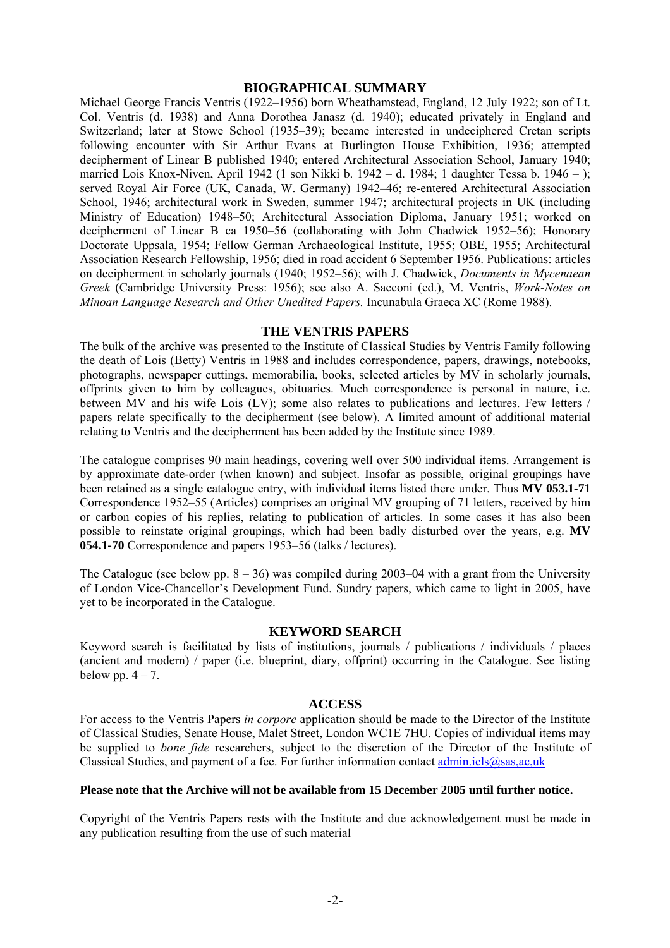#### **BIOGRAPHICAL SUMMARY**

Michael George Francis Ventris (1922–1956) born Wheathamstead, England, 12 July 1922; son of Lt. Col. Ventris (d. 1938) and Anna Dorothea Janasz (d. 1940); educated privately in England and Switzerland; later at Stowe School (1935–39); became interested in undeciphered Cretan scripts following encounter with Sir Arthur Evans at Burlington House Exhibition, 1936; attempted decipherment of Linear B published 1940; entered Architectural Association School, January 1940; married Lois Knox-Niven, April 1942 (1 son Nikki b. 1942 – d. 1984; 1 daughter Tessa b. 1946 – ); served Royal Air Force (UK, Canada, W. Germany) 1942–46; re-entered Architectural Association School, 1946; architectural work in Sweden, summer 1947; architectural projects in UK (including Ministry of Education) 1948–50; Architectural Association Diploma, January 1951; worked on decipherment of Linear B ca 1950–56 (collaborating with John Chadwick 1952–56); Honorary Doctorate Uppsala, 1954; Fellow German Archaeological Institute, 1955; OBE, 1955; Architectural Association Research Fellowship, 1956; died in road accident 6 September 1956. Publications: articles on decipherment in scholarly journals (1940; 1952–56); with J. Chadwick, *Documents in Mycenaean Greek* (Cambridge University Press: 1956); see also A. Sacconi (ed.), M. Ventris, *Work-Notes on Minoan Language Research and Other Unedited Papers.* Incunabula Graeca XC (Rome 1988).

#### **THE VENTRIS PAPERS**

The bulk of the archive was presented to the Institute of Classical Studies by Ventris Family following the death of Lois (Betty) Ventris in 1988 and includes correspondence, papers, drawings, notebooks, photographs, newspaper cuttings, memorabilia, books, selected articles by MV in scholarly journals, offprints given to him by colleagues, obituaries. Much correspondence is personal in nature, i.e. between MV and his wife Lois (LV); some also relates to publications and lectures. Few letters / papers relate specifically to the decipherment (see below). A limited amount of additional material relating to Ventris and the decipherment has been added by the Institute since 1989.

The catalogue comprises 90 main headings, covering well over 500 individual items. Arrangement is by approximate date-order (when known) and subject. Insofar as possible, original groupings have been retained as a single catalogue entry, with individual items listed there under. Thus **MV 053.1-71** Correspondence 1952–55 (Articles) comprises an original MV grouping of 71 letters, received by him or carbon copies of his replies, relating to publication of articles. In some cases it has also been possible to reinstate original groupings, which had been badly disturbed over the years, e.g. **MV 054.1-70** Correspondence and papers 1953–56 (talks / lectures).

The Catalogue (see below pp.  $8 - 36$ ) was compiled during 2003–04 with a grant from the University of London Vice-Chancellor's Development Fund. Sundry papers, which came to light in 2005, have yet to be incorporated in the Catalogue.

# **KEYWORD SEARCH**

Keyword search is facilitated by lists of institutions, journals / publications / individuals / places (ancient and modern) / paper (i.e. blueprint, diary, offprint) occurring in the Catalogue. See listing below pp.  $4 - 7$ .

#### **ACCESS**

For access to the Ventris Papers *in corpore* application should be made to the Director of the Institute of Classical Studies, Senate House, Malet Street, London WC1E 7HU. Copies of individual items may be supplied to *bone fide* researchers, subject to the discretion of the Director of the Institute of Classical Studies, and payment of a fee. For further information contact  $\frac{\text{admin.} \text{icls}(\partial \Omega \text{sas.} \text{ac.} \text{uk})}{\text{admin.} \text{ic}}$ 

#### **Please note that the Archive will not be available from 15 December 2005 until further notice.**

Copyright of the Ventris Papers rests with the Institute and due acknowledgement must be made in any publication resulting from the use of such material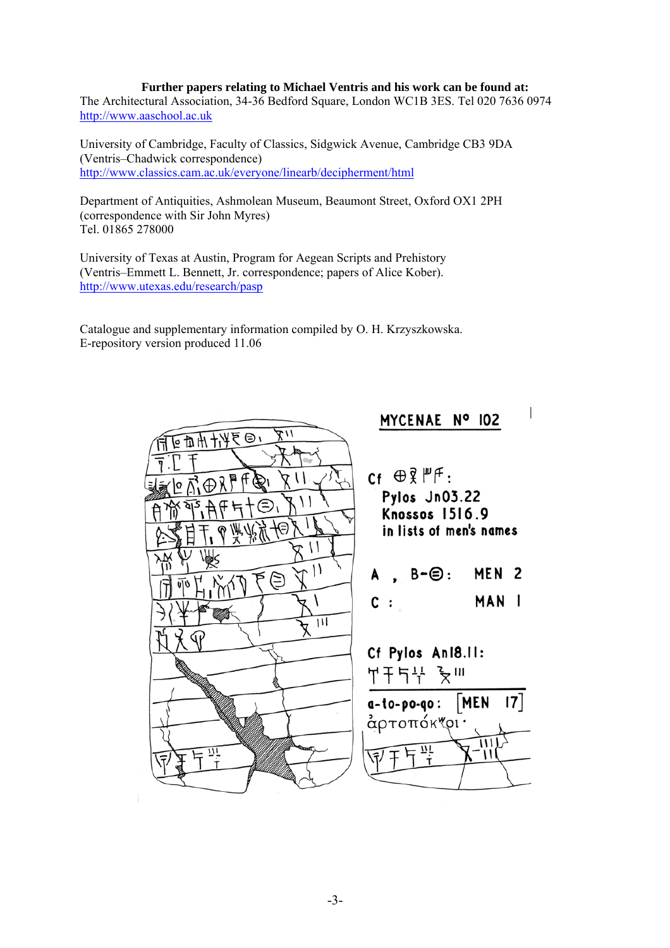#### **Further papers relating to Michael Ventris and his work can be found at:**

The Architectural Association, 34-36 Bedford Square, London WC1B 3ES. Tel 020 7636 0974 [http://www.aaschool.ac.uk](http://www.aaschool.ac.uk/)

University of Cambridge, Faculty of Classics, Sidgwick Avenue, Cambridge CB3 9DA (Ventris–Chadwick correspondence) <http://www.classics.cam.ac.uk/everyone/linearb/decipherment/html>

Department of Antiquities, Ashmolean Museum, Beaumont Street, Oxford OX1 2PH (correspondence with Sir John Myres) Tel. 01865 278000

University of Texas at Austin, Program for Aegean Scripts and Prehistory (Ventris–Emmett L. Bennett, Jr. correspondence; papers of Alice Kober). <http://www.utexas.edu/research/pasp>

Catalogue and supplementary information compiled by O. H. Krzyszkowska. E-repository version produced 11.06

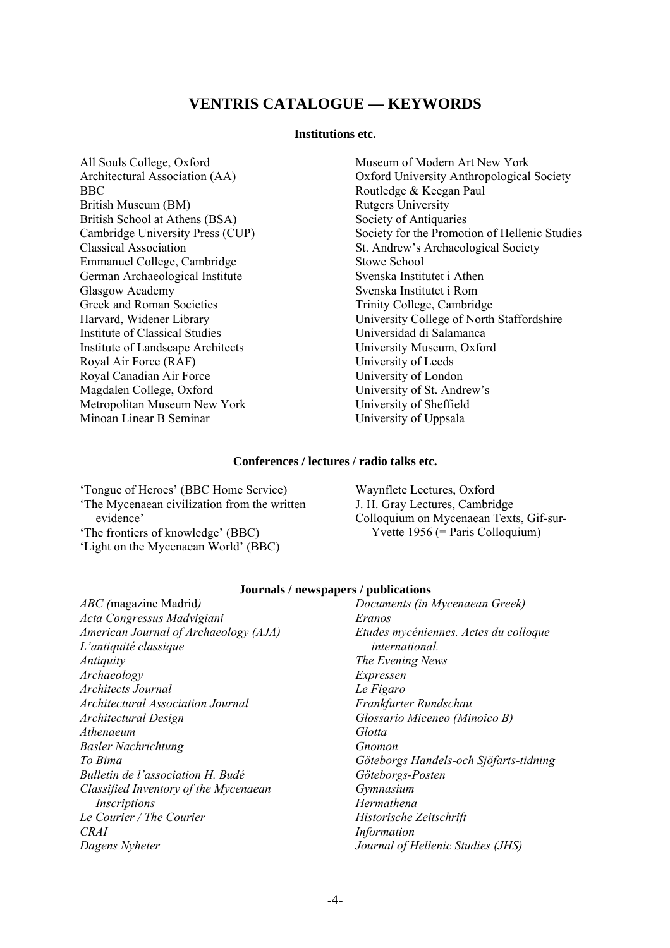# **VENTRIS CATALOGUE — KEYWORDS**

#### **Institutions etc.**

All Souls College, Oxford Architectural Association (AA) BBC British Museum (BM) British School at Athens (BSA) Cambridge University Press (CUP) Classical Association Emmanuel College, Cambridge German Archaeological Institute Glasgow Academy Greek and Roman Societies Harvard, Widener Library Institute of Classical Studies Institute of Landscape Architects Royal Air Force (RAF) Royal Canadian Air Force Magdalen College, Oxford Metropolitan Museum New York Minoan Linear B Seminar

Museum of Modern Art New York Oxford University Anthropological Society Routledge & Keegan Paul Rutgers University Society of Antiquaries Society for the Promotion of Hellenic Studies St. Andrew's Archaeological Society Stowe School Svenska Institutet i Athen Svenska Institutet i Rom Trinity College, Cambridge University College of North Staffordshire Universidad di Salamanca University Museum, Oxford University of Leeds University of London University of St. Andrew's University of Sheffield University of Uppsala

# **Conferences / lectures / radio talks etc.**

'Tongue of Heroes' (BBC Home Service) 'The Mycenaean civilization from the written evidence' 'The frontiers of knowledge' (BBC)

'Light on the Mycenaean World' (BBC)

Waynflete Lectures, Oxford J. H. Gray Lectures, Cambridge Colloquium on Mycenaean Texts, Gif-sur- Yvette 1956 (= Paris Colloquium)

# **Journals / newspapers / publications**

*ABC (*magazine Madrid*) Acta Congressus Madvigiani American Journal of Archaeology (AJA) L'antiquité classique Antiquity Archaeology Architects Journal Architectural Association Journal Architectural Design Athenaeum Basler Nachrichtung To Bima Bulletin de l'association H. Budé Classified Inventory of the Mycenaean Inscriptions Le Courier / The Courier CRAI Dagens Nyheter* 

*Documents (in Mycenaean Greek) Eranos Etudes mycéniennes. Actes du colloque international. The Evening News Expressen Le Figaro Frankfurter Rundschau Glossario Miceneo (Minoico B) Glotta Gnomon Göteborgs Handels-och Sjöfarts-tidning Göteborgs-Posten Gymnasium Hermathena Historische Zeitschrift Information Journal of Hellenic Studies (JHS)*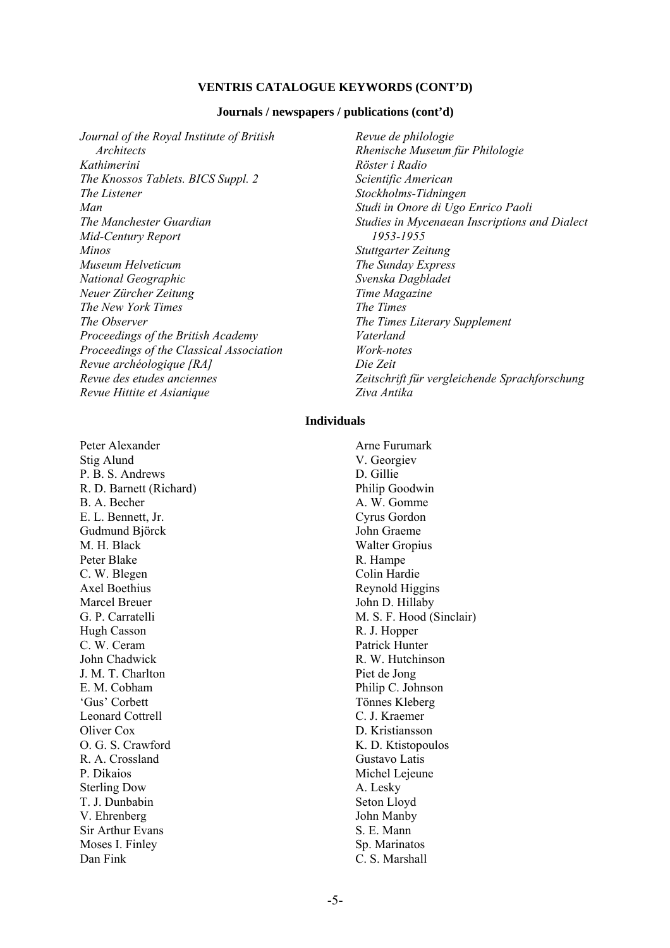#### **VENTRIS CATALOGUE KEYWORDS (CONT'D)**

#### **Journals / newspapers / publications (cont'd)**

*Journal of the Royal Institute of British Architects Kathimerini The Knossos Tablets. BICS Suppl. 2 The Listener Man The Manchester Guardian Mid-Century Report Minos Museum Helveticum National Geographic Neuer Zürcher Zeitung The New York Times The Observer Proceedings of the British Academy Proceedings of the Classical Association Revue archéologique [RA] Revue des etudes anciennes Revue Hittite et Asianique* 

*Revue de philologie Rhenische Museum für Philologie Röster i Radio Scientific American Stockholms-Tidningen Studi in Onore di Ugo Enrico Paoli Studies in Mycenaean Inscriptions and Dialect 1953-1955 Stuttgarter Zeitung The Sunday Express Svenska Dagbladet Time Magazine The Times The Times Literary Supplement Vaterland Work-notes Die Zeit* 

*Zeitschrift für vergleichende Sprachforschung* 

#### **Individuals**

*Ziva Antika* 

Peter Alexander Stig Alund P. B. S. Andrews R. D. Barnett (Richard) B. A. Becher E. L. Bennett, Jr. Gudmund Björck M. H. Black Peter Blake C. W. Blegen Axel Boethius Marcel Breuer G. P. Carratelli Hugh Casson C. W. Ceram John Chadwick J. M. T. Charlton E. M. Cobham 'Gus' Corbett Leonard Cottrell Oliver Cox O. G. S. Crawford R. A. Crossland P. Dikaios Sterling Dow T. J. Dunbabin V. Ehrenberg Sir Arthur Evans Moses I. Finley Dan Fink

Arne Furumark V. Georgiev D. Gillie Philip Goodwin A. W. Gomme Cyrus Gordon John Graeme Walter Gropius R. Hampe Colin Hardie Reynold Higgins John D. Hillaby M. S. F. Hood (Sinclair) R. J. Hopper Patrick Hunter R. W. Hutchinson Piet de Jong Philip C. Johnson Tönnes Kleberg C. J. Kraemer D. Kristiansson K. D. Ktistopoulos Gustavo Latis Michel Lejeune A. Lesky Seton Lloyd John Manby S. E. Mann Sp. Marinatos C. S. Marshall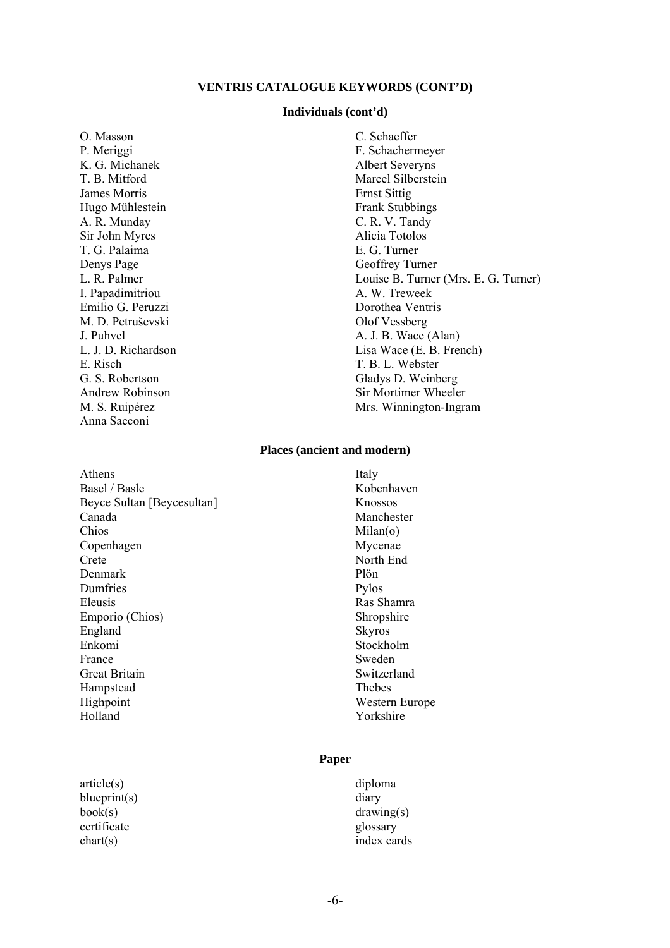# **VENTRIS CATALOGUE KEYWORDS (CONT'D)**

#### **Individuals (cont'd)**

O. Masson P. Meriggi K. G. Michanek T. B. Mitford James Morris Hugo Mühlestein A. R. Munday Sir John Myres T. G. Palaima Denys Page L. R. Palmer I. Papadimitriou Emilio G. Peruzzi M. D. Petruševski J. Puhvel L. J. D. Richardson E. Risch G. S. Robertson Andrew Robinson M. S. Ruipérez Anna Sacconi

C. Schaeffer F. Schachermeyer Albert Severyns Marcel Silberstein Ernst Sittig Frank Stubbings C. R. V. Tandy Alicia Totolos E. G. Turner Geoffrey Turner Louise B. Turner (Mrs. E. G. Turner) A. W. Treweek Dorothea Ventris Olof Vessberg A. J. B. Wace (Alan) Lisa Wace (E. B. French) T. B. L. Webster Gladys D. Weinberg Sir Mortimer Wheeler Mrs. Winnington-Ingram

# **Places (ancient and modern)**

Athens Basel / Basle Beyce Sultan [Beycesultan] Canada Chios Copenhagen Crete Denmark Dumfries Eleusis Emporio (Chios) England Enkomi France Great Britain Hampstead Highpoint Holland

article(s) blueprint(s) book(s) certificate chart(s)

Italy Kobenhaven Knossos Manchester Milan(o) Mycenae North End Plön Pylos Ras Shamra Shropshire Skyros Stockholm Sweden Switzerland Thebes Western Europe Yorkshire

# **Paper**

diploma diary drawing(s) glossary index cards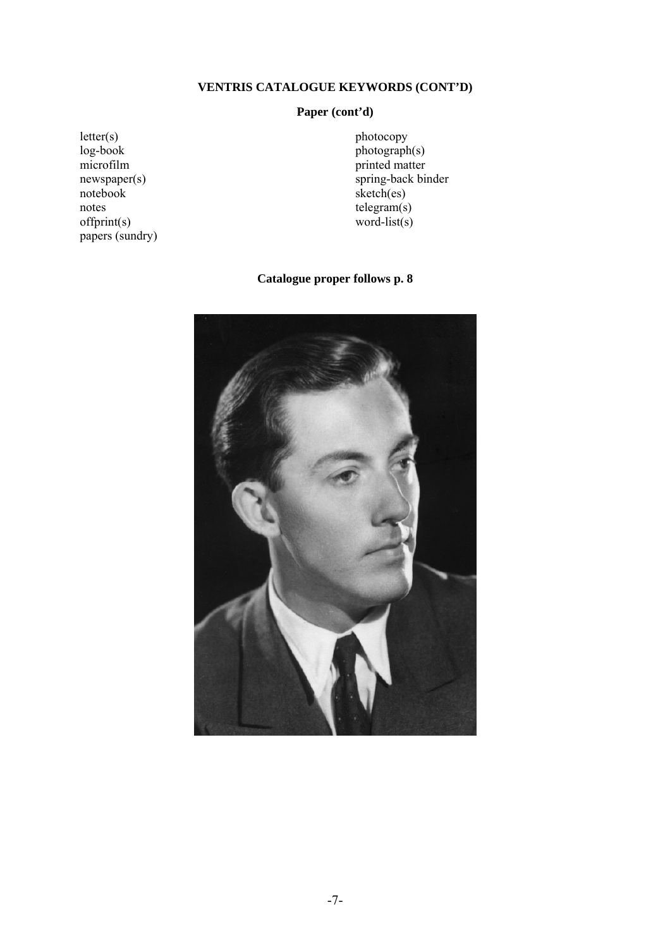# **VENTRIS CATALOGUE KEYWORDS (CONT'D)**

# **Paper (cont'd)**

 $letter(s)$ log-book microfilm newspaper(s) notebook notes offprint(s) papers (sundry) photocopy photograph(s) printed matter spring-back binder sketch(es) telegram(s) word-list(s)

# **Catalogue proper follows p. 8**

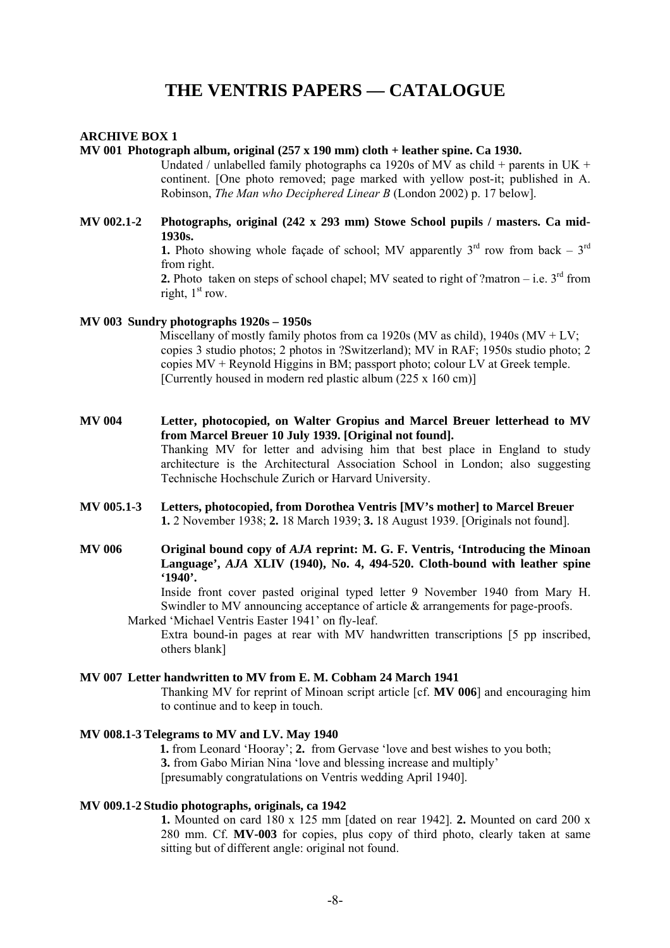# **THE VENTRIS PAPERS — CATALOGUE**

#### **ARCHIVE BOX 1**

#### **MV 001 Photograph album, original (257 x 190 mm) cloth + leather spine. Ca 1930.**

Undated / unlabelled family photographs ca 1920s of MV as child + parents in UK + continent. [One photo removed; page marked with yellow post-it; published in A. Robinson, *The Man who Deciphered Linear B* (London 2002) p. 17 below].

# **MV 002.1-2 Photographs, original (242 x 293 mm) Stowe School pupils / masters. Ca mid-1930s.**

**1.** Photo showing whole facade of school; MV apparently  $3^{rd}$  row from back –  $3^{rd}$ from right.

**2.** Photo taken on steps of school chapel; MV seated to right of ?matron – i.e.  $3<sup>rd</sup>$  from right,  $1<sup>st</sup>$  row.

#### **MV 003 Sundry photographs 1920s – 1950s**

Miscellany of mostly family photos from ca 1920s (MV as child),  $1940s$  (MV  $+ LV$ ; copies 3 studio photos; 2 photos in ?Switzerland); MV in RAF; 1950s studio photo; 2 copies MV + Reynold Higgins in BM; passport photo; colour LV at Greek temple. [Currently housed in modern red plastic album  $(225 \times 160 \text{ cm})$ ]

- **MV 004 Letter, photocopied, on Walter Gropius and Marcel Breuer letterhead to MV from Marcel Breuer 10 July 1939. [Original not found].**  Thanking MV for letter and advising him that best place in England to study architecture is the Architectural Association School in London; also suggesting Technische Hochschule Zurich or Harvard University.
- **MV 005.1-3 Letters, photocopied, from Dorothea Ventris [MV's mother] to Marcel Breuer 1.** 2 November 1938; **2.** 18 March 1939; **3.** 18 August 1939. [Originals not found].
- **MV 006 Original bound copy of** *AJA* **reprint: M. G. F. Ventris, 'Introducing the Minoan Language',** *AJA* **XLIV (1940), No. 4, 494-520. Cloth-bound with leather spine '1940'.**

Inside front cover pasted original typed letter 9 November 1940 from Mary H. Swindler to MV announcing acceptance of article  $\&$  arrangements for page-proofs. Marked 'Michael Ventris Easter 1941' on fly-leaf.

Extra bound-in pages at rear with MV handwritten transcriptions [5 pp inscribed, others blank]

# **MV 007 Letter handwritten to MV from E. M. Cobham 24 March 1941**

Thanking MV for reprint of Minoan script article [cf. **MV 006**] and encouraging him to continue and to keep in touch.

# **MV 008.1-3 Telegrams to MV and LV. May 1940**

 **1.** from Leonard 'Hooray'; **2.** from Gervase 'love and best wishes to you both; **3.** from Gabo Mirian Nina 'love and blessing increase and multiply' [presumably congratulations on Ventris wedding April 1940].

# **MV 009.1-2 Studio photographs, originals, ca 1942**

**1.** Mounted on card 180 x 125 mm [dated on rear 1942]. **2.** Mounted on card 200 x 280 mm. Cf. **MV-003** for copies, plus copy of third photo, clearly taken at same sitting but of different angle: original not found.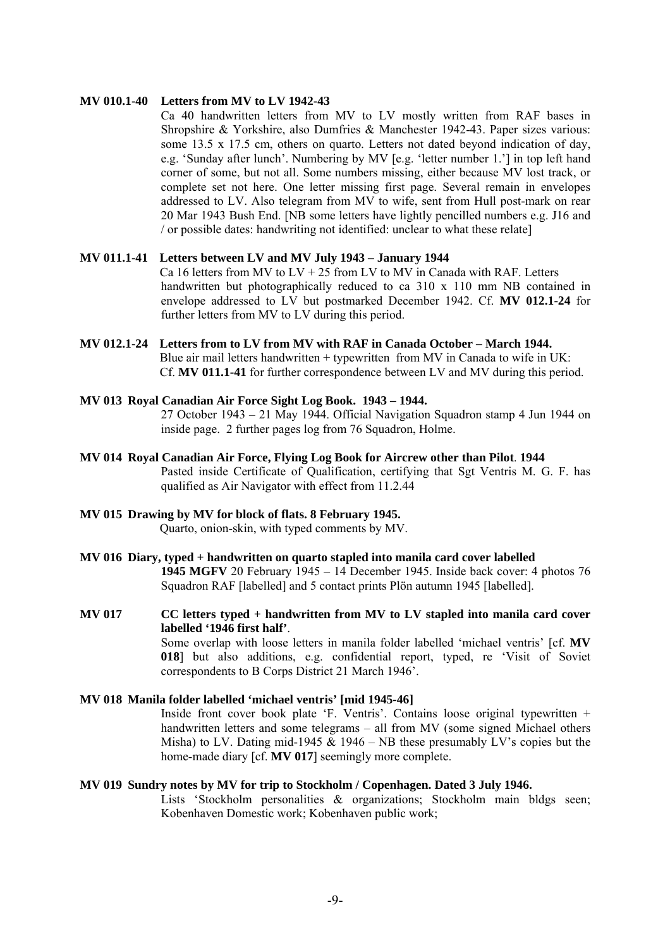# **MV 010.1-40 Letters from MV to LV 1942-43**

Ca 40 handwritten letters from MV to LV mostly written from RAF bases in Shropshire & Yorkshire, also Dumfries & Manchester 1942-43. Paper sizes various: some 13.5 x 17.5 cm, others on quarto. Letters not dated beyond indication of day, e.g. 'Sunday after lunch'. Numbering by MV [e.g. 'letter number 1.'] in top left hand corner of some, but not all. Some numbers missing, either because MV lost track, or complete set not here. One letter missing first page. Several remain in envelopes addressed to LV. Also telegram from MV to wife, sent from Hull post-mark on rear 20 Mar 1943 Bush End. [NB some letters have lightly pencilled numbers e.g. J16 and / or possible dates: handwriting not identified: unclear to what these relate]

# **MV 011.1-41 Letters between LV and MV July 1943 – January 1944**

Ca 16 letters from MV to  $LV + 25$  from LV to MV in Canada with RAF. Letters handwritten but photographically reduced to ca 310 x 110 mm NB contained in envelope addressed to LV but postmarked December 1942. Cf. **MV 012.1-24** for further letters from MV to LV during this period.

**MV 012.1-24 Letters from to LV from MV with RAF in Canada October – March 1944.**  Blue air mail letters handwritten + typewritten from MV in Canada to wife in UK: Cf. **MV 011.1-41** for further correspondence between LV and MV during this period.

# **MV 013 Royal Canadian Air Force Sight Log Book. 1943 – 1944.**

27 October 1943 – 21 May 1944. Official Navigation Squadron stamp 4 Jun 1944 on inside page. 2 further pages log from 76 Squadron, Holme.

**MV 014 Royal Canadian Air Force, Flying Log Book for Aircrew other than Pilot**. **1944**  Pasted inside Certificate of Qualification, certifying that Sgt Ventris M. G. F. has qualified as Air Navigator with effect from 11.2.44

# **MV 015 Drawing by MV for block of flats. 8 February 1945.**

Quarto, onion-skin, with typed comments by MV.

- **MV 016 Diary, typed + handwritten on quarto stapled into manila card cover labelled 1945 MGFV** 20 February 1945 – 14 December 1945. Inside back cover: 4 photos 76 Squadron RAF [labelled] and 5 contact prints Plön autumn 1945 [labelled].
- **MV 017 CC letters typed + handwritten from MV to LV stapled into manila card cover labelled '1946 first half'**. Some overlap with loose letters in manila folder labelled 'michael ventris' [cf. **MV 018**] but also additions, e.g. confidential report, typed, re 'Visit of Soviet correspondents to B Corps District 21 March 1946'.

# **MV 018 Manila folder labelled 'michael ventris' [mid 1945-46]**

Inside front cover book plate 'F. Ventris'. Contains loose original typewritten + handwritten letters and some telegrams – all from MV (some signed Michael others Misha) to LV. Dating mid-1945 & 1946 – NB these presumably LV's copies but the home-made diary [cf. **MV 017**] seemingly more complete.

#### **MV 019 Sundry notes by MV for trip to Stockholm / Copenhagen. Dated 3 July 1946.**

Lists 'Stockholm personalities & organizations: Stockholm main bldgs seen; Kobenhaven Domestic work; Kobenhaven public work;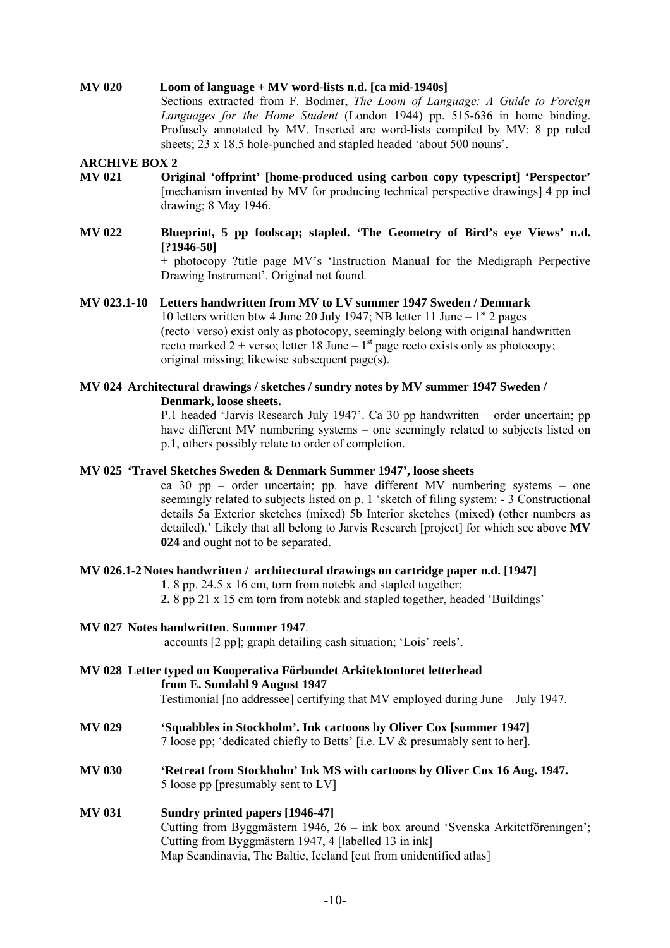# **MV 020 Loom of language + MV word-lists n.d. [ca mid-1940s]**

Sections extracted from F. Bodmer, *The Loom of Language: A Guide to Foreign Languages for the Home Student* (London 1944) pp. 515-636 in home binding. Profusely annotated by MV. Inserted are word-lists compiled by MV: 8 pp ruled sheets; 23 x 18.5 hole-punched and stapled headed 'about 500 nouns'.

#### **ARCHIVE BOX 2**

- **MV 021 Original 'offprint' [home-produced using carbon copy typescript] 'Perspector'** [mechanism invented by MV for producing technical perspective drawings] 4 pp incl drawing; 8 May 1946.
- **MV 022 Blueprint, 5 pp foolscap; stapled. 'The Geometry of Bird's eye Views' n.d. [?1946-50]** + photocopy ?title page MV's 'Instruction Manual for the Medigraph Perpective

Drawing Instrument'. Original not found. **MV 023.1-10 Letters handwritten from MV to LV summer 1947 Sweden / Denmark** 

10 letters written btw 4 June 20 July 1947; NB letter 11 June –  $1<sup>st</sup>$  2 pages (recto+verso) exist only as photocopy, seemingly belong with original handwritten recto marked 2 + verso; letter 18 June –  $1<sup>st</sup>$  page recto exists only as photocopy; original missing; likewise subsequent page(s).

# **MV 024 Architectural drawings / sketches / sundry notes by MV summer 1947 Sweden / Denmark, loose sheets.**

P.1 headed 'Jarvis Research July 1947'. Ca 30 pp handwritten – order uncertain; pp have different MV numbering systems – one seemingly related to subjects listed on p.1, others possibly relate to order of completion.

#### **MV 025 'Travel Sketches Sweden & Denmark Summer 1947', loose sheets**

ca 30 pp – order uncertain; pp. have different MV numbering systems – one seemingly related to subjects listed on p. 1 'sketch of filing system: - 3 Constructional details 5a Exterior sketches (mixed) 5b Interior sketches (mixed) (other numbers as detailed).' Likely that all belong to Jarvis Research [project] for which see above **MV 024** and ought not to be separated.

# **MV 026.1-2 Notes handwritten / architectural drawings on cartridge paper n.d. [1947]**

**1**. 8 pp. 24.5 x 16 cm, torn from notebk and stapled together;

**2.** 8 pp 21 x 15 cm torn from notebk and stapled together, headed 'Buildings'

# **MV 027 Notes handwritten**. **Summer 1947**.

accounts [2 pp]; graph detailing cash situation; 'Lois' reels'.

- **MV 028 Letter typed on Kooperativa Förbundet Arkitektontoret letterhead from E. Sundahl 9 August 1947** 
	- Testimonial [no addressee] certifying that MV employed during June July 1947.
- **MV 029 'Squabbles in Stockholm'. Ink cartoons by Oliver Cox [summer 1947]**  7 loose pp; 'dedicated chiefly to Betts' [i.e. LV & presumably sent to her].
- **MV 030 'Retreat from Stockholm' Ink MS with cartoons by Oliver Cox 16 Aug. 1947.**  5 loose pp [presumably sent to LV]

# **MV 031 Sundry printed papers [1946-47]**  Cutting from Byggmästern 1946, 26 – ink box around 'Svenska Arkitctföreningen'; Cutting from Byggmästern 1947, 4 [labelled 13 in ink] Map Scandinavia, The Baltic, Iceland [cut from unidentified atlas]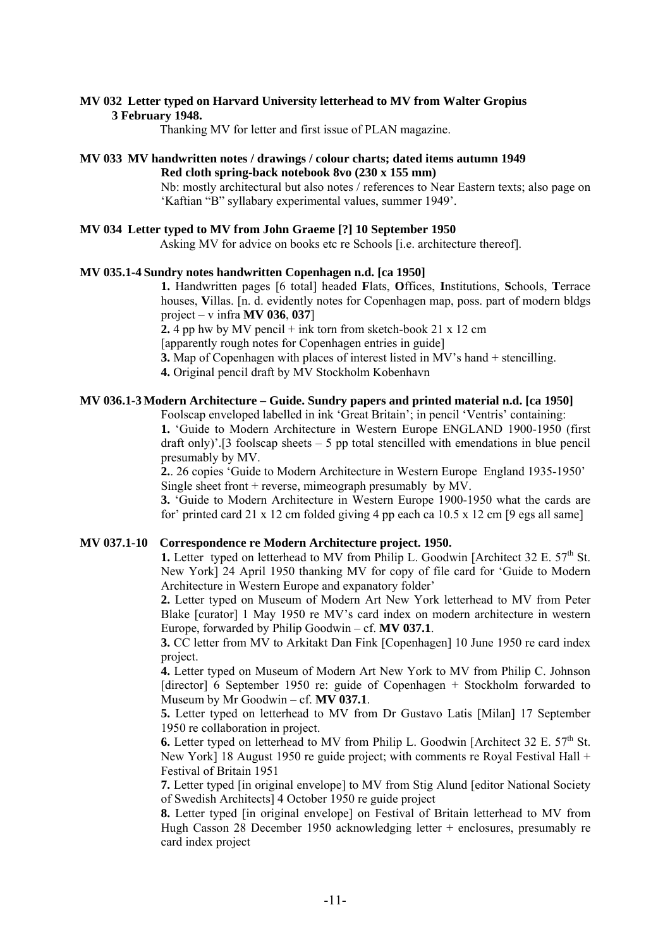# **MV 032 Letter typed on Harvard University letterhead to MV from Walter Gropius**

# **3 February 1948.**

Thanking MV for letter and first issue of PLAN magazine.

#### **MV 033 MV handwritten notes / drawings / colour charts; dated items autumn 1949 Red cloth spring-back notebook 8vo (230 x 155 mm)**

Nb: mostly architectural but also notes / references to Near Eastern texts; also page on 'Kaftian "B" syllabary experimental values, summer 1949'.

#### **MV 034 Letter typed to MV from John Graeme [?] 10 September 1950**

Asking MV for advice on books etc re Schools [i.e. architecture thereof].

# **MV 035.1-4 Sundry notes handwritten Copenhagen n.d. [ca 1950]**

**1.** Handwritten pages [6 total] headed **F**lats, **O**ffices, **I**nstitutions, **S**chools, **T**errace houses, **V**illas. [n. d. evidently notes for Copenhagen map, poss. part of modern bldgs project – v infra **MV 036**, **037**]

**2.** 4 pp hw by MV pencil + ink torn from sketch-book 21 x 12 cm

[apparently rough notes for Copenhagen entries in guide]

**3.** Map of Copenhagen with places of interest listed in MV's hand + stencilling.

**4.** Original pencil draft by MV Stockholm Kobenhavn

# **MV 036.1-3 Modern Architecture – Guide. Sundry papers and printed material n.d. [ca 1950]**

Foolscap enveloped labelled in ink 'Great Britain'; in pencil 'Ventris' containing:

**1.** 'Guide to Modern Architecture in Western Europe ENGLAND 1900-1950 (first draft only)'.<sup>[3</sup> foolscap sheets  $-5$  pp total stencilled with emendations in blue pencil presumably by MV.

**2.**. 26 copies 'Guide to Modern Architecture in Western Europe England 1935-1950' Single sheet front + reverse, mimeograph presumably by MV.

**3.** 'Guide to Modern Architecture in Western Europe 1900-1950 what the cards are for' printed card 21 x 12 cm folded giving 4 pp each ca  $10.5 \times 12$  cm [9 egs all same]

# **MV 037.1-10 Correspondence re Modern Architecture project. 1950.**

**1.** Letter typed on letterhead to MV from Philip L. Goodwin [Architect 32 E.  $57<sup>th</sup>$  St. New York] 24 April 1950 thanking MV for copy of file card for 'Guide to Modern Architecture in Western Europe and expanatory folder'

**2.** Letter typed on Museum of Modern Art New York letterhead to MV from Peter Blake [curator] 1 May 1950 re MV's card index on modern architecture in western Europe, forwarded by Philip Goodwin – cf. **MV 037.1**.

**3.** CC letter from MV to Arkitakt Dan Fink [Copenhagen] 10 June 1950 re card index project.

**4.** Letter typed on Museum of Modern Art New York to MV from Philip C. Johnson [director] 6 September 1950 re: guide of Copenhagen + Stockholm forwarded to Museum by Mr Goodwin – cf. **MV 037.1**.

**5.** Letter typed on letterhead to MV from Dr Gustavo Latis [Milan] 17 September 1950 re collaboration in project.

**6.** Letter typed on letterhead to MV from Philip L. Goodwin [Architect 32 E.  $57<sup>th</sup>$  St. New York] 18 August 1950 re guide project; with comments re Royal Festival Hall + Festival of Britain 1951

**7.** Letter typed [in original envelope] to MV from Stig Alund [editor National Society of Swedish Architects] 4 October 1950 re guide project

**8.** Letter typed [in original envelope] on Festival of Britain letterhead to MV from Hugh Casson 28 December 1950 acknowledging letter + enclosures, presumably re card index project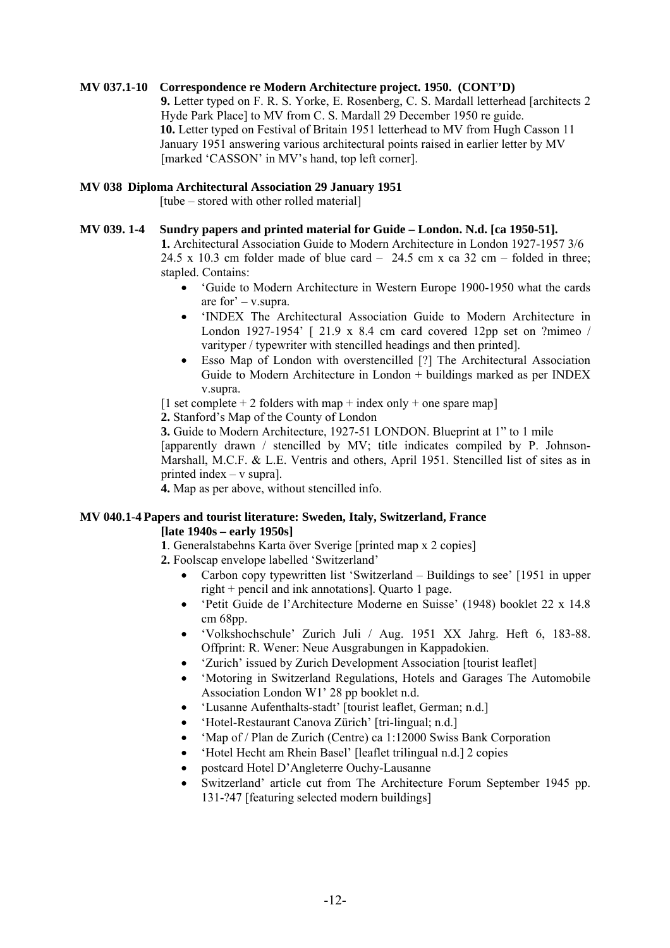# **MV 037.1-10 Correspondence re Modern Architecture project. 1950. (CONT'D)**

**9.** Letter typed on F. R. S. Yorke, E. Rosenberg, C. S. Mardall letterhead [architects 2 Hyde Park Place] to MV from C. S. Mardall 29 December 1950 re guide. **10.** Letter typed on Festival of Britain 1951 letterhead to MV from Hugh Casson 11 January 1951 answering various architectural points raised in earlier letter by MV [marked 'CASSON' in MV's hand, top left corner].

# **MV 038 Diploma Architectural Association 29 January 1951**

[tube – stored with other rolled material]

#### **MV 039. 1-4 Sundry papers and printed material for Guide – London. N.d. [ca 1950-51].**

**1.** Architectural Association Guide to Modern Architecture in London 1927-1957 3/6 24.5 x 10.3 cm folder made of blue card  $-$  24.5 cm x ca 32 cm – folded in three; stapled. Contains:

- 'Guide to Modern Architecture in Western Europe 1900-1950 what the cards are for' – v.supra.
- 'INDEX The Architectural Association Guide to Modern Architecture in London 1927-1954' [ 21.9 x 8.4 cm card covered 12pp set on ?mimeo / varityper / typewriter with stencilled headings and then printed].
- Esso Map of London with overstencilled [?] The Architectural Association Guide to Modern Architecture in London + buildings marked as per INDEX v.supra.

[1 set complete  $+ 2$  folders with map  $+$  index only  $+$  one spare map]

**2.** Stanford's Map of the County of London

**3.** Guide to Modern Architecture, 1927-51 LONDON. Blueprint at 1" to 1 mile

[apparently drawn / stencilled by MV; title indicates compiled by P. Johnson-Marshall, M.C.F. & L.E. Ventris and others, April 1951. Stencilled list of sites as in printed index – v supra].

**4.** Map as per above, without stencilled info.

# **MV 040.1-4 Papers and tourist literature: Sweden, Italy, Switzerland, France**

# **[late 1940s – early 1950s]**

**1**. Generalstabehns Karta över Sverige [printed map x 2 copies]

**2.** Foolscap envelope labelled 'Switzerland'

- Carbon copy typewritten list 'Switzerland Buildings to see' [1951 in upper right + pencil and ink annotations]. Quarto 1 page.
- 'Petit Guide de l'Architecture Moderne en Suisse' (1948) booklet 22 x 14.8 cm 68pp.
- 'Volkshochschule' Zurich Juli / Aug. 1951 XX Jahrg. Heft 6, 183-88. Offprint: R. Wener: Neue Ausgrabungen in Kappadokien.
- 'Zurich' issued by Zurich Development Association [tourist leaflet]
- 'Motoring in Switzerland Regulations, Hotels and Garages The Automobile Association London W1' 28 pp booklet n.d.
- 'Lusanne Aufenthalts-stadt' [tourist leaflet, German; n.d.]
- 'Hotel-Restaurant Canova Zürich' [tri-lingual; n.d.]
- 'Map of / Plan de Zurich (Centre) ca 1:12000 Swiss Bank Corporation
- 'Hotel Hecht am Rhein Basel' [leaflet trilingual n.d.] 2 copies
- postcard Hotel D'Angleterre Ouchy-Lausanne
- Switzerland' article cut from The Architecture Forum September 1945 pp. 131-?47 [featuring selected modern buildings]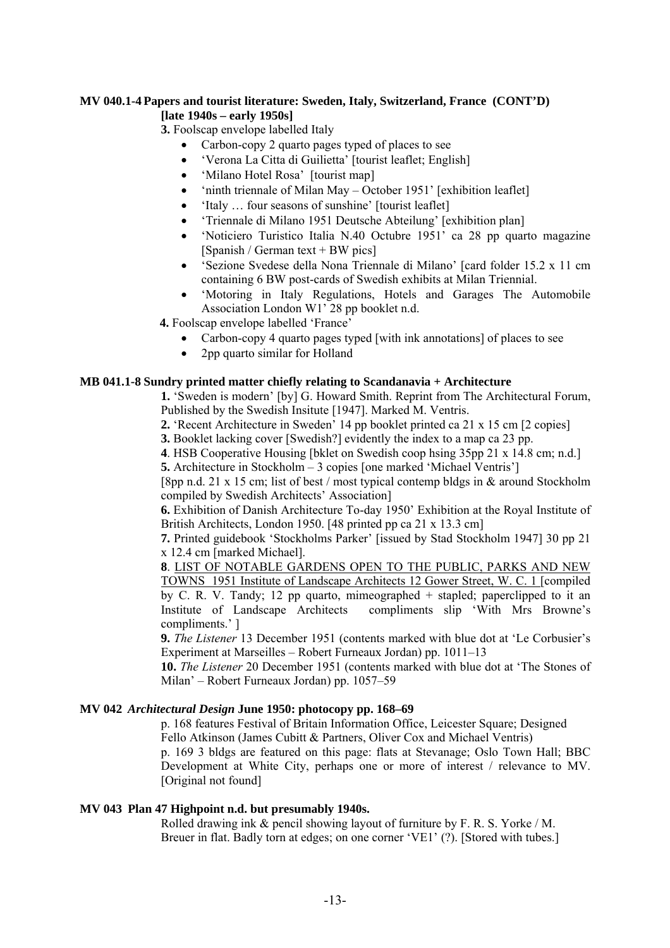# **MV 040.1-4 Papers and tourist literature: Sweden, Italy, Switzerland, France (CONT'D) [late 1940s – early 1950s]**

**3.** Foolscap envelope labelled Italy

- Carbon-copy 2 quarto pages typed of places to see
- 'Verona La Citta di Guilietta' [tourist leaflet; English]
- 'Milano Hotel Rosa' [tourist map]
- 'ninth triennale of Milan May October 1951' [exhibition leaflet]
- 'Italy … four seasons of sunshine' [tourist leaflet]
- 'Triennale di Milano 1951 Deutsche Abteilung' [exhibition plan]
- 'Noticiero Turistico Italia N.40 Octubre 1951' ca 28 pp quarto magazine [Spanish / German text + BW pics]
- 'Sezione Svedese della Nona Triennale di Milano' [card folder 15.2 x 11 cm containing 6 BW post-cards of Swedish exhibits at Milan Triennial.
- 'Motoring in Italy Regulations, Hotels and Garages The Automobile Association London W1' 28 pp booklet n.d.

 **4.** Foolscap envelope labelled 'France'

- Carbon-copy 4 quarto pages typed [with ink annotations] of places to see
- 2pp quarto similar for Holland

# **MB 041.1-8 Sundry printed matter chiefly relating to Scandanavia + Architecture**

**1.** 'Sweden is modern' [by] G. Howard Smith. Reprint from The Architectural Forum, Published by the Swedish Insitute [1947]. Marked M. Ventris.

**2.** 'Recent Architecture in Sweden' 14 pp booklet printed ca 21 x 15 cm [2 copies]

**3.** Booklet lacking cover [Swedish?] evidently the index to a map ca 23 pp.

**4**. HSB Cooperative Housing [bklet on Swedish coop hsing 35pp 21 x 14.8 cm; n.d.]

**5.** Architecture in Stockholm – 3 copies [one marked 'Michael Ventris']

[8pp n.d. 21 x 15 cm; list of best / most typical contemp bldgs in & around Stockholm compiled by Swedish Architects' Association]

**6.** Exhibition of Danish Architecture To-day 1950' Exhibition at the Royal Institute of British Architects, London 1950. [48 printed pp ca 21 x 13.3 cm]

**7.** Printed guidebook 'Stockholms Parker' [issued by Stad Stockholm 1947] 30 pp 21 x 12.4 cm [marked Michael].

**8**. LIST OF NOTABLE GARDENS OPEN TO THE PUBLIC, PARKS AND NEW TOWNS 1951 Institute of Landscape Architects 12 Gower Street, W. C. 1 [compiled by C. R. V. Tandy; 12 pp quarto, mimeographed + stapled; paperclipped to it an Institute of Landscape Architects compliments slip 'With Mrs Browne's compliments.' ]

**9.** *The Listener* 13 December 1951 (contents marked with blue dot at 'Le Corbusier's Experiment at Marseilles – Robert Furneaux Jordan) pp. 1011–13

**10.** *The Listener* 20 December 1951 (contents marked with blue dot at 'The Stones of Milan' – Robert Furneaux Jordan) pp. 1057–59

# **MV 042** *Architectural Design* **June 1950: photocopy pp. 168–69**

p. 168 features Festival of Britain Information Office, Leicester Square; Designed Fello Atkinson (James Cubitt & Partners, Oliver Cox and Michael Ventris)

p. 169 3 bldgs are featured on this page: flats at Stevanage; Oslo Town Hall; BBC Development at White City, perhaps one or more of interest / relevance to MV. [Original not found]

# **MV 043 Plan 47 Highpoint n.d. but presumably 1940s.**

Rolled drawing ink & pencil showing layout of furniture by F. R. S. Yorke / M. Breuer in flat. Badly torn at edges; on one corner 'VE1' (?). [Stored with tubes.]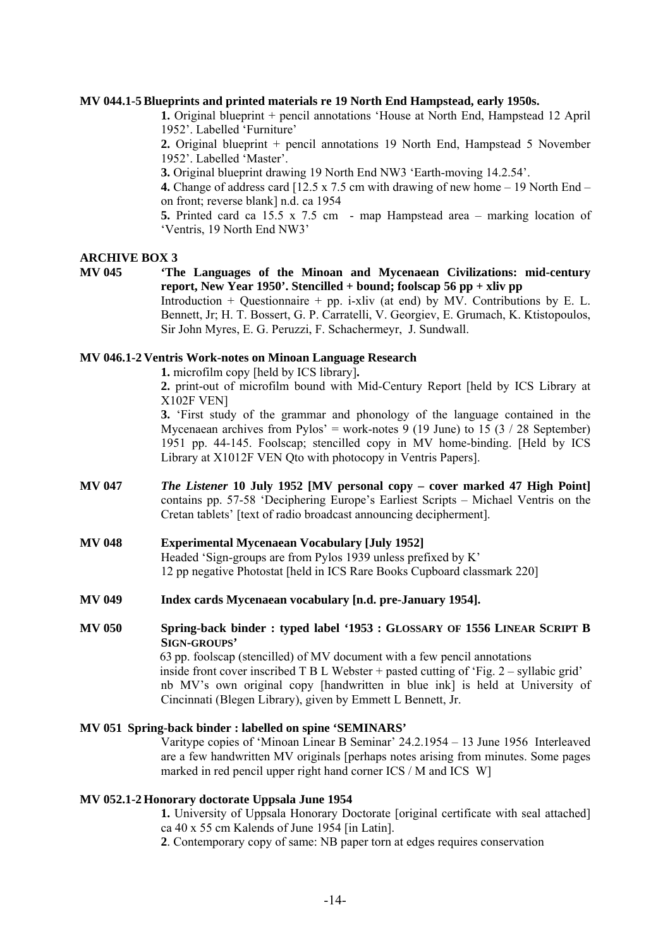#### **MV 044.1-5 Blueprints and printed materials re 19 North End Hampstead, early 1950s.**

**1.** Original blueprint + pencil annotations 'House at North End, Hampstead 12 April 1952'. Labelled 'Furniture'

**2.** Original blueprint + pencil annotations 19 North End, Hampstead 5 November 1952'. Labelled 'Master'.

**3.** Original blueprint drawing 19 North End NW3 'Earth-moving 14.2.54'.

**4.** Change of address card [12.5 x 7.5 cm with drawing of new home – 19 North End – on front; reverse blank] n.d. ca 1954

**5.** Printed card ca 15.5 x 7.5 cm - map Hampstead area – marking location of 'Ventris, 19 North End NW3'

#### **ARCHIVE BOX 3**

# **MV 045 'The Languages of the Minoan and Mycenaean Civilizations: mid-century report, New Year 1950'. Stencilled + bound; foolscap 56 pp + xliv pp**

Introduction + Questionnaire + pp. i-xliv (at end) by MV. Contributions by E. L. Bennett, Jr; H. T. Bossert, G. P. Carratelli, V. Georgiev, E. Grumach, K. Ktistopoulos, Sir John Myres, E. G. Peruzzi, F. Schachermeyr, J. Sundwall.

# **MV 046.1-2 Ventris Work-notes on Minoan Language Research**

**1.** microfilm copy [held by ICS library]**.** 

**2.** print-out of microfilm bound with Mid-Century Report [held by ICS Library at X102F VEN]

**3.** 'First study of the grammar and phonology of the language contained in the Mycenaean archives from Pylos' = work-notes 9 (19 June) to 15 (3 / 28 September) 1951 pp. 44-145. Foolscap; stencilled copy in MV home-binding. [Held by ICS Library at X1012F VEN Qto with photocopy in Ventris Papers].

- **MV 047** *The Listener* **10 July 1952 [MV personal copy cover marked 47 High Point]**  contains pp. 57-58 'Deciphering Europe's Earliest Scripts – Michael Ventris on the Cretan tablets' [text of radio broadcast announcing decipherment].
- **MV 048 Experimental Mycenaean Vocabulary [July 1952]**  Headed 'Sign-groups are from Pylos 1939 unless prefixed by K' 12 pp negative Photostat [held in ICS Rare Books Cupboard classmark 220]
- **MV 049 Index cards Mycenaean vocabulary [n.d. pre-January 1954].**

# **MV 050 Spring-back binder : typed label '1953 : GLOSSARY OF 1556 LINEAR SCRIPT B SIGN-GROUPS'**

63 pp. foolscap (stencilled) of MV document with a few pencil annotations inside front cover inscribed T B L Webster + pasted cutting of 'Fig. 2 – syllabic grid' nb MV's own original copy [handwritten in blue ink] is held at University of Cincinnati (Blegen Library), given by Emmett L Bennett, Jr.

# **MV 051 Spring-back binder : labelled on spine 'SEMINARS'**

Varitype copies of 'Minoan Linear B Seminar' 24.2.1954 – 13 June 1956 Interleaved are a few handwritten MV originals [perhaps notes arising from minutes. Some pages marked in red pencil upper right hand corner ICS / M and ICS W]

#### **MV 052.1-2 Honorary doctorate Uppsala June 1954**

**1.** University of Uppsala Honorary Doctorate [original certificate with seal attached] ca 40 x 55 cm Kalends of June 1954 [in Latin].

**2**. Contemporary copy of same: NB paper torn at edges requires conservation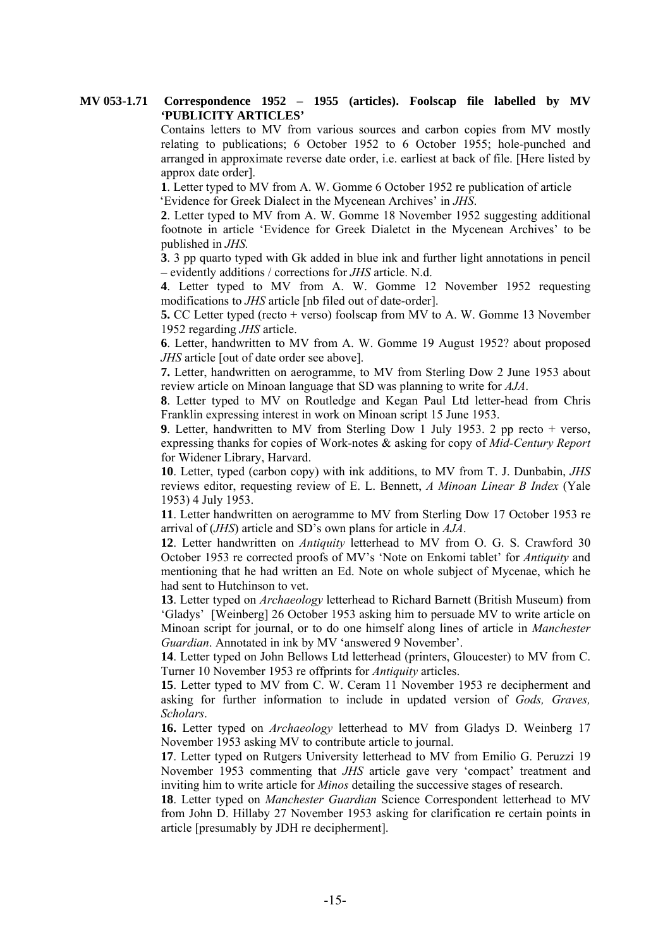Contains letters to MV from various sources and carbon copies from MV mostly relating to publications; 6 October 1952 to 6 October 1955; hole-punched and arranged in approximate reverse date order, i.e. earliest at back of file. [Here listed by approx date order].

**1**. Letter typed to MV from A. W. Gomme 6 October 1952 re publication of article 'Evidence for Greek Dialect in the Mycenean Archives' in *JHS*.

**2**. Letter typed to MV from A. W. Gomme 18 November 1952 suggesting additional footnote in article 'Evidence for Greek Dialetct in the Mycenean Archives' to be published in *JHS.*

**3**. 3 pp quarto typed with Gk added in blue ink and further light annotations in pencil – evidently additions / corrections for *JHS* article. N.d.

**4**. Letter typed to MV from A. W. Gomme 12 November 1952 requesting modifications to *JHS* article [nb filed out of date-order].

**5.** CC Letter typed (recto + verso) foolscap from MV to A. W. Gomme 13 November 1952 regarding *JHS* article.

**6**. Letter, handwritten to MV from A. W. Gomme 19 August 1952? about proposed *JHS* article [out of date order see above].

**7.** Letter, handwritten on aerogramme, to MV from Sterling Dow 2 June 1953 about review article on Minoan language that SD was planning to write for *AJA*.

**8**. Letter typed to MV on Routledge and Kegan Paul Ltd letter-head from Chris Franklin expressing interest in work on Minoan script 15 June 1953.

**9**. Letter, handwritten to MV from Sterling Dow 1 July 1953. 2 pp recto + verso, expressing thanks for copies of Work-notes & asking for copy of *Mid-Century Report* for Widener Library, Harvard.

**10**. Letter, typed (carbon copy) with ink additions, to MV from T. J. Dunbabin, *JHS* reviews editor, requesting review of E. L. Bennett, *A Minoan Linear B Index* (Yale 1953) 4 July 1953.

**11**. Letter handwritten on aerogramme to MV from Sterling Dow 17 October 1953 re arrival of (*JHS*) article and SD's own plans for article in *AJA*.

**12**. Letter handwritten on *Antiquity* letterhead to MV from O. G. S. Crawford 30 October 1953 re corrected proofs of MV's 'Note on Enkomi tablet' for *Antiquity* and mentioning that he had written an Ed. Note on whole subject of Mycenae, which he had sent to Hutchinson to vet.

**13**. Letter typed on *Archaeology* letterhead to Richard Barnett (British Museum) from 'Gladys' [Weinberg] 26 October 1953 asking him to persuade MV to write article on Minoan script for journal, or to do one himself along lines of article in *Manchester Guardian*. Annotated in ink by MV 'answered 9 November'.

**14**. Letter typed on John Bellows Ltd letterhead (printers, Gloucester) to MV from C. Turner 10 November 1953 re offprints for *Antiquity* articles.

**15**. Letter typed to MV from C. W. Ceram 11 November 1953 re decipherment and asking for further information to include in updated version of *Gods, Graves, Scholars*.

**16.** Letter typed on *Archaeology* letterhead to MV from Gladys D. Weinberg 17 November 1953 asking MV to contribute article to journal.

**17**. Letter typed on Rutgers University letterhead to MV from Emilio G. Peruzzi 19 November 1953 commenting that *JHS* article gave very 'compact' treatment and inviting him to write article for *Minos* detailing the successive stages of research.

**18**. Letter typed on *Manchester Guardian* Science Correspondent letterhead to MV from John D. Hillaby 27 November 1953 asking for clarification re certain points in article [presumably by JDH re decipherment].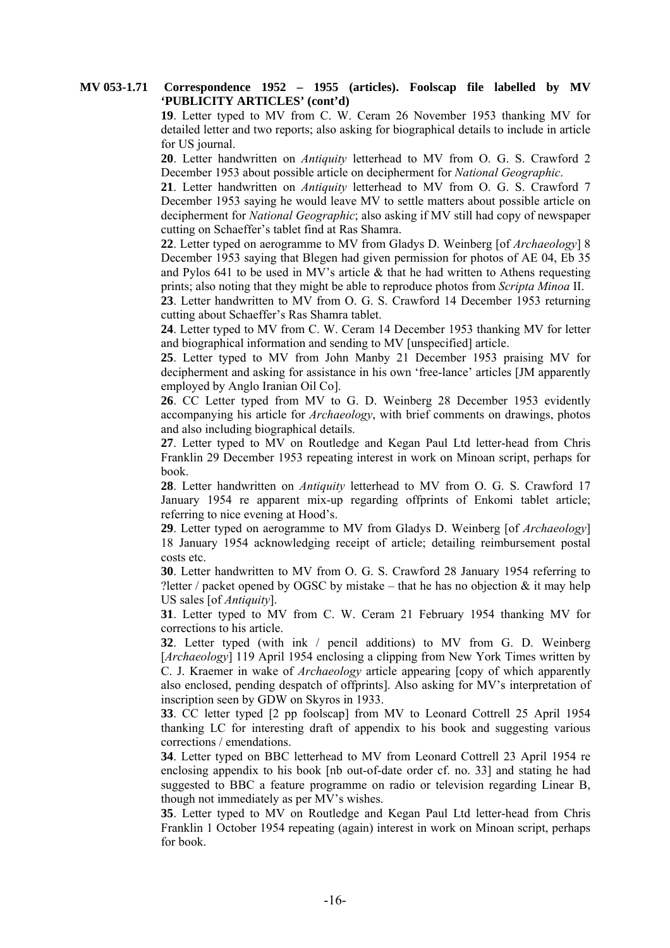**19**. Letter typed to MV from C. W. Ceram 26 November 1953 thanking MV for detailed letter and two reports; also asking for biographical details to include in article for US journal.

**20**. Letter handwritten on *Antiquity* letterhead to MV from O. G. S. Crawford 2 December 1953 about possible article on decipherment for *National Geographic*.

**21**. Letter handwritten on *Antiquity* letterhead to MV from O. G. S. Crawford 7 December 1953 saying he would leave MV to settle matters about possible article on decipherment for *National Geographic*; also asking if MV still had copy of newspaper cutting on Schaeffer's tablet find at Ras Shamra.

**22**. Letter typed on aerogramme to MV from Gladys D. Weinberg [of *Archaeology*] 8 December 1953 saying that Blegen had given permission for photos of AE 04, Eb 35 and Pylos 641 to be used in MV's article  $\&$  that he had written to Athens requesting prints; also noting that they might be able to reproduce photos from *Scripta Minoa* II.

**23**. Letter handwritten to MV from O. G. S. Crawford 14 December 1953 returning cutting about Schaeffer's Ras Shamra tablet.

**24**. Letter typed to MV from C. W. Ceram 14 December 1953 thanking MV for letter and biographical information and sending to MV [unspecified] article.

**25**. Letter typed to MV from John Manby 21 December 1953 praising MV for decipherment and asking for assistance in his own 'free-lance' articles [JM apparently employed by Anglo Iranian Oil Co].

**26**. CC Letter typed from MV to G. D. Weinberg 28 December 1953 evidently accompanying his article for *Archaeology*, with brief comments on drawings, photos and also including biographical details.

**27**. Letter typed to MV on Routledge and Kegan Paul Ltd letter-head from Chris Franklin 29 December 1953 repeating interest in work on Minoan script, perhaps for book.

**28**. Letter handwritten on *Antiquity* letterhead to MV from O. G. S. Crawford 17 January 1954 re apparent mix-up regarding offprints of Enkomi tablet article; referring to nice evening at Hood's.

**29**. Letter typed on aerogramme to MV from Gladys D. Weinberg [of *Archaeology*] 18 January 1954 acknowledging receipt of article; detailing reimbursement postal costs etc.

**30**. Letter handwritten to MV from O. G. S. Crawford 28 January 1954 referring to ? letter / packet opened by OGSC by mistake – that he has no objection  $\&$  it may help US sales [of *Antiquity*].

**31**. Letter typed to MV from C. W. Ceram 21 February 1954 thanking MV for corrections to his article.

**32**. Letter typed (with ink / pencil additions) to MV from G. D. Weinberg [*Archaeology*] 119 April 1954 enclosing a clipping from New York Times written by C. J. Kraemer in wake of *Archaeology* article appearing [copy of which apparently also enclosed, pending despatch of offprints]. Also asking for MV's interpretation of inscription seen by GDW on Skyros in 1933.

**33**. CC letter typed [2 pp foolscap] from MV to Leonard Cottrell 25 April 1954 thanking LC for interesting draft of appendix to his book and suggesting various corrections / emendations.

**34**. Letter typed on BBC letterhead to MV from Leonard Cottrell 23 April 1954 re enclosing appendix to his book [nb out-of-date order cf. no. 33] and stating he had suggested to BBC a feature programme on radio or television regarding Linear B, though not immediately as per MV's wishes.

**35**. Letter typed to MV on Routledge and Kegan Paul Ltd letter-head from Chris Franklin 1 October 1954 repeating (again) interest in work on Minoan script, perhaps for book.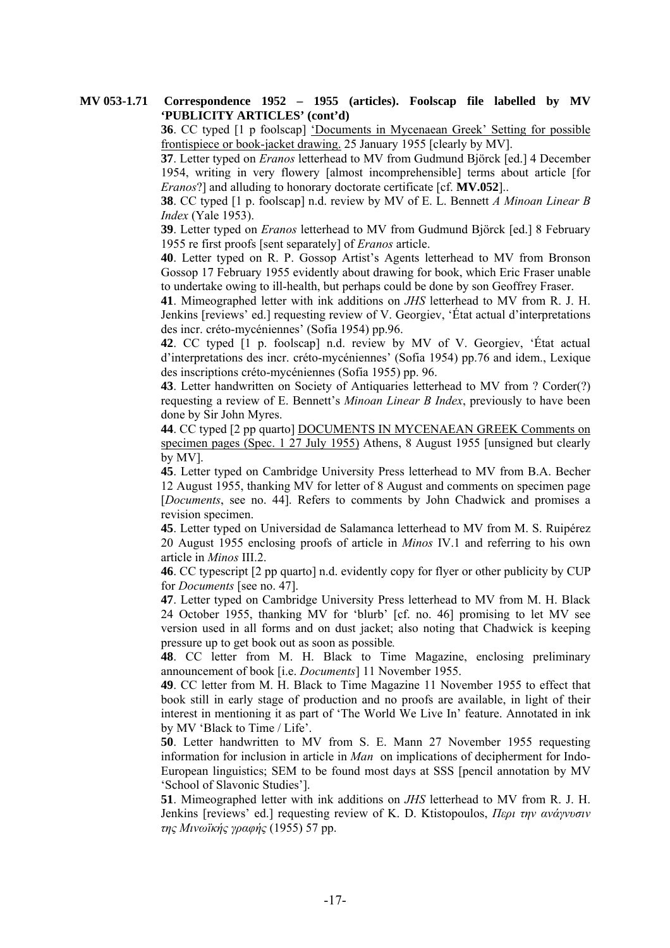**36**. CC typed [1 p foolscap] 'Documents in Mycenaean Greek' Setting for possible frontispiece or book-jacket drawing. 25 January 1955 [clearly by MV].

**37**. Letter typed on *Eranos* letterhead to MV from Gudmund Björck [ed.] 4 December 1954, writing in very flowery [almost incomprehensible] terms about article [for *Eranos*?] and alluding to honorary doctorate certificate [cf. **MV.052**]..

**38**. CC typed [1 p. foolscap] n.d. review by MV of E. L. Bennett *A Minoan Linear B Index* (Yale 1953).

**39**. Letter typed on *Eranos* letterhead to MV from Gudmund Björck [ed.] 8 February 1955 re first proofs [sent separately] of *Eranos* article.

**40**. Letter typed on R. P. Gossop Artist's Agents letterhead to MV from Bronson Gossop 17 February 1955 evidently about drawing for book, which Eric Fraser unable to undertake owing to ill-health, but perhaps could be done by son Geoffrey Fraser.

**41**. Mimeographed letter with ink additions on *JHS* letterhead to MV from R. J. H. Jenkins [reviews' ed.] requesting review of V. Georgiev, 'État actual d'interpretations des incr. créto-mycéniennes' (Sofia 1954) pp.96.

**42**. CC typed [1 p. foolscap] n.d. review by MV of V. Georgiev, 'État actual d'interpretations des incr. créto-mycéniennes' (Sofia 1954) pp.76 and idem., Lexique des inscriptions créto-mycéniennes (Sofia 1955) pp. 96.

**43**. Letter handwritten on Society of Antiquaries letterhead to MV from ? Corder(?) requesting a review of E. Bennett's *Minoan Linear B Index*, previously to have been done by Sir John Myres.

**44**. CC typed [2 pp quarto] DOCUMENTS IN MYCENAEAN GREEK Comments on specimen pages (Spec. 1 27 July 1955) Athens, 8 August 1955 [unsigned but clearly by MV].

**45**. Letter typed on Cambridge University Press letterhead to MV from B.A. Becher 12 August 1955, thanking MV for letter of 8 August and comments on specimen page [*Documents*, see no. 44]. Refers to comments by John Chadwick and promises a revision specimen.

**45**. Letter typed on Universidad de Salamanca letterhead to MV from M. S. Ruipérez 20 August 1955 enclosing proofs of article in *Minos* IV.1 and referring to his own article in *Minos* III.2.

**46**. CC typescript [2 pp quarto] n.d. evidently copy for flyer or other publicity by CUP for *Documents* [see no. 47].

**47**. Letter typed on Cambridge University Press letterhead to MV from M. H. Black 24 October 1955, thanking MV for 'blurb' [cf. no. 46] promising to let MV see version used in all forms and on dust jacket; also noting that Chadwick is keeping pressure up to get book out as soon as possible*.*

**48**. CC letter from M. H. Black to Time Magazine, enclosing preliminary announcement of book [i.e. *Documents*] 11 November 1955.

**49**. CC letter from M. H. Black to Time Magazine 11 November 1955 to effect that book still in early stage of production and no proofs are available, in light of their interest in mentioning it as part of 'The World We Live In' feature. Annotated in ink by MV 'Black to Time / Life'.

**50**. Letter handwritten to MV from S. E. Mann 27 November 1955 requesting information for inclusion in article in *Man* on implications of decipherment for Indo-European linguistics; SEM to be found most days at SSS [pencil annotation by MV 'School of Slavonic Studies'].

**51**. Mimeographed letter with ink additions on *JHS* letterhead to MV from R. J. H. Jenkins [reviews' ed.] requesting review of K. D. Ktistopoulos, *Περι την ανάγνυσιν της Μινωϊκής γραφής* (1955) 57 pp.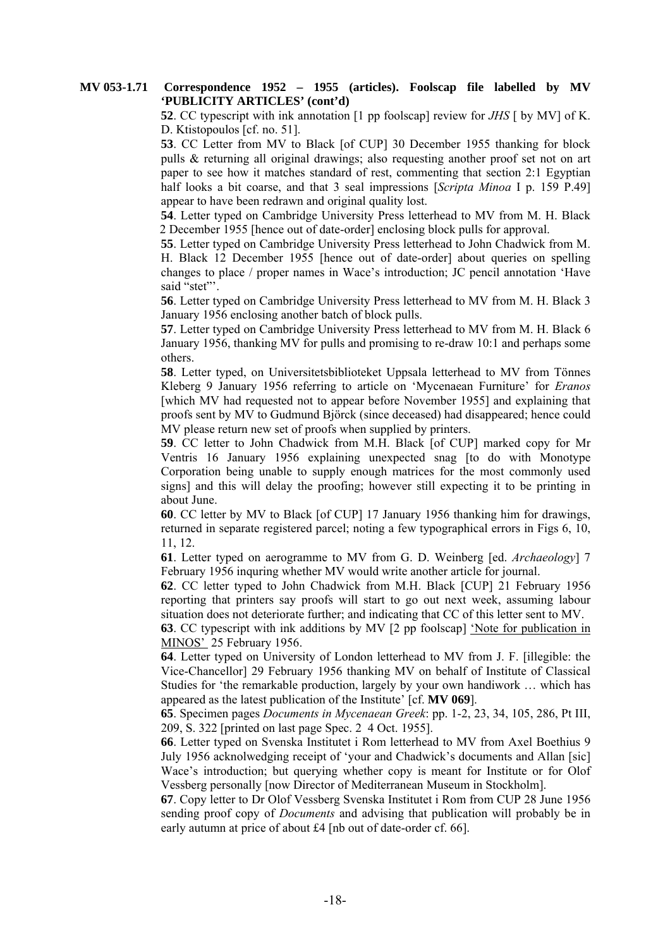**52**. CC typescript with ink annotation [1 pp foolscap] review for *JHS* [ by MV] of K. D. Ktistopoulos [cf. no. 51].

**53**. CC Letter from MV to Black [of CUP] 30 December 1955 thanking for block pulls & returning all original drawings; also requesting another proof set not on art paper to see how it matches standard of rest, commenting that section 2:1 Egyptian half looks a bit coarse, and that 3 seal impressions [*Scripta Minoa* I p. 159 P.49] appear to have been redrawn and original quality lost.

**54**. Letter typed on Cambridge University Press letterhead to MV from M. H. Black 2 December 1955 [hence out of date-order] enclosing block pulls for approval.

**55**. Letter typed on Cambridge University Press letterhead to John Chadwick from M. H. Black 12 December 1955 [hence out of date-order] about queries on spelling changes to place / proper names in Wace's introduction; JC pencil annotation 'Have said "stet"'.

**56**. Letter typed on Cambridge University Press letterhead to MV from M. H. Black 3 January 1956 enclosing another batch of block pulls.

**57**. Letter typed on Cambridge University Press letterhead to MV from M. H. Black 6 January 1956, thanking MV for pulls and promising to re-draw 10:1 and perhaps some others.

**58**. Letter typed, on Universitetsbiblioteket Uppsala letterhead to MV from Tönnes Kleberg 9 January 1956 referring to article on 'Mycenaean Furniture' for *Eranos* [which MV had requested not to appear before November 1955] and explaining that proofs sent by MV to Gudmund Björck (since deceased) had disappeared; hence could MV please return new set of proofs when supplied by printers.

**59**. CC letter to John Chadwick from M.H. Black [of CUP] marked copy for Mr Ventris 16 January 1956 explaining unexpected snag [to do with Monotype Corporation being unable to supply enough matrices for the most commonly used signs] and this will delay the proofing; however still expecting it to be printing in about June.

**60**. CC letter by MV to Black [of CUP] 17 January 1956 thanking him for drawings, returned in separate registered parcel; noting a few typographical errors in Figs 6, 10, 11, 12.

**61**. Letter typed on aerogramme to MV from G. D. Weinberg [ed. *Archaeology*] 7 February 1956 inquring whether MV would write another article for journal.

**62**. CC letter typed to John Chadwick from M.H. Black [CUP] 21 February 1956 reporting that printers say proofs will start to go out next week, assuming labour situation does not deteriorate further; and indicating that CC of this letter sent to MV.

**63**. CC typescript with ink additions by MV [2 pp foolscap] 'Note for publication in MINOS' 25 February 1956.

**64**. Letter typed on University of London letterhead to MV from J. F. [illegible: the Vice-Chancellor] 29 February 1956 thanking MV on behalf of Institute of Classical Studies for 'the remarkable production, largely by your own handiwork … which has appeared as the latest publication of the Institute' [cf. **MV 069**].

**65**. Specimen pages *Documents in Mycenaean Greek*: pp. 1-2, 23, 34, 105, 286, Pt III, 209, S. 322 [printed on last page Spec. 2 4 Oct. 1955].

**66**. Letter typed on Svenska Institutet i Rom letterhead to MV from Axel Boethius 9 July 1956 acknolwedging receipt of 'your and Chadwick's documents and Allan [sic] Wace's introduction; but querying whether copy is meant for Institute or for Olof Vessberg personally [now Director of Mediterranean Museum in Stockholm].

**67**. Copy letter to Dr Olof Vessberg Svenska Institutet i Rom from CUP 28 June 1956 sending proof copy of *Documents* and advising that publication will probably be in early autumn at price of about £4 [nb out of date-order cf. 66].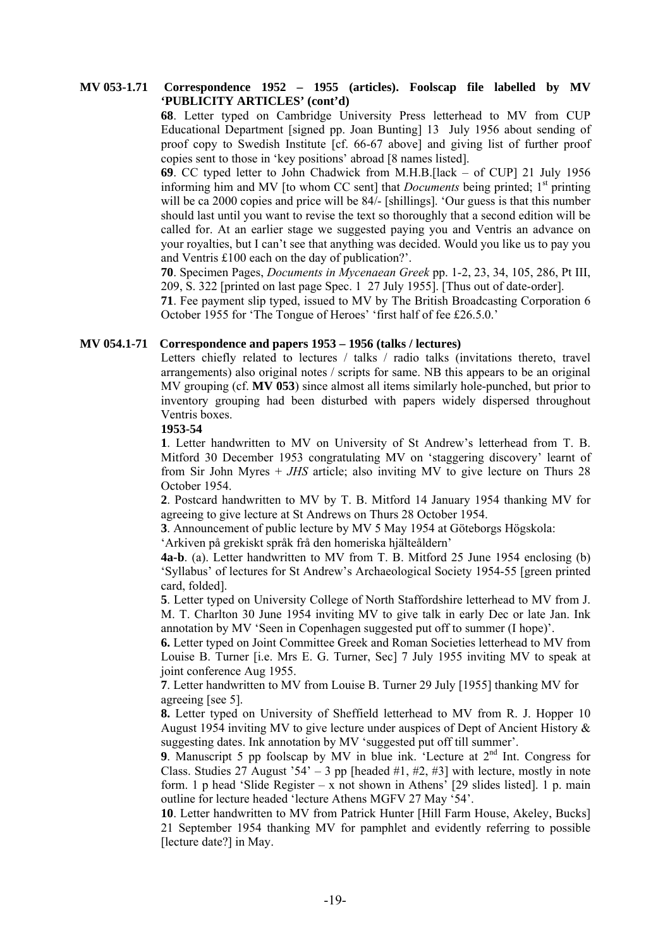**68**. Letter typed on Cambridge University Press letterhead to MV from CUP Educational Department [signed pp. Joan Bunting] 13 July 1956 about sending of proof copy to Swedish Institute [cf. 66-67 above] and giving list of further proof copies sent to those in 'key positions' abroad [8 names listed].

**69**. CC typed letter to John Chadwick from M.H.B.[lack – of CUP] 21 July 1956 informing him and MV [to whom CC sent] that *Documents* being printed;  $1<sup>st</sup>$  printing will be ca 2000 copies and price will be 84/- [shillings]. 'Our guess is that this number should last until you want to revise the text so thoroughly that a second edition will be called for. At an earlier stage we suggested paying you and Ventris an advance on your royalties, but I can't see that anything was decided. Would you like us to pay you and Ventris £100 each on the day of publication?'.

**70**. Specimen Pages, *Documents in Mycenaean Greek* pp. 1-2, 23, 34, 105, 286, Pt III, 209, S. 322 [printed on last page Spec. 1 27 July 1955]. [Thus out of date-order].

**71**. Fee payment slip typed, issued to MV by The British Broadcasting Corporation 6 October 1955 for 'The Tongue of Heroes' 'first half of fee £26.5.0.'

# **MV 054.1-71 Correspondence and papers 1953 – 1956 (talks / lectures)**

Letters chiefly related to lectures / talks / radio talks (invitations thereto, travel arrangements) also original notes / scripts for same. NB this appears to be an original MV grouping (cf. **MV 053**) since almost all items similarly hole-punched, but prior to inventory grouping had been disturbed with papers widely dispersed throughout Ventris boxes.

#### **1953-54**

**1**. Letter handwritten to MV on University of St Andrew's letterhead from T. B. Mitford 30 December 1953 congratulating MV on 'staggering discovery' learnt of from Sir John Myres + *JHS* article; also inviting MV to give lecture on Thurs 28 October 1954.

**2**. Postcard handwritten to MV by T. B. Mitford 14 January 1954 thanking MV for agreeing to give lecture at St Andrews on Thurs 28 October 1954.

**3**. Announcement of public lecture by MV 5 May 1954 at Göteborgs Högskola:

'Arkiven på grekiskt språk frå den homeriska hjälteåldern'

**4a-b**. (a). Letter handwritten to MV from T. B. Mitford 25 June 1954 enclosing (b) 'Syllabus' of lectures for St Andrew's Archaeological Society 1954-55 [green printed card, folded].

**5**. Letter typed on University College of North Staffordshire letterhead to MV from J. M. T. Charlton 30 June 1954 inviting MV to give talk in early Dec or late Jan. Ink annotation by MV 'Seen in Copenhagen suggested put off to summer (I hope)'.

**6.** Letter typed on Joint Committee Greek and Roman Societies letterhead to MV from Louise B. Turner [i.e. Mrs E. G. Turner, Sec] 7 July 1955 inviting MV to speak at joint conference Aug 1955.

**7**. Letter handwritten to MV from Louise B. Turner 29 July [1955] thanking MV for agreeing [see 5].

**8.** Letter typed on University of Sheffield letterhead to MV from R. J. Hopper 10 August 1954 inviting MV to give lecture under auspices of Dept of Ancient History & suggesting dates. Ink annotation by MV 'suggested put off till summer'.

**9**. Manuscript 5 pp foolscap by MV in blue ink. 'Lecture at 2<sup>nd</sup> Int. Congress for Class. Studies 27 August '54' – 3 pp [headed #1, #2, #3] with lecture, mostly in note form. 1 p head 'Slide Register – x not shown in Athens'  $[29 \text{ slides listed}]$ . 1 p. main outline for lecture headed 'lecture Athens MGFV 27 May '54'.

**10**. Letter handwritten to MV from Patrick Hunter [Hill Farm House, Akeley, Bucks] 21 September 1954 thanking MV for pamphlet and evidently referring to possible [lecture date?] in May.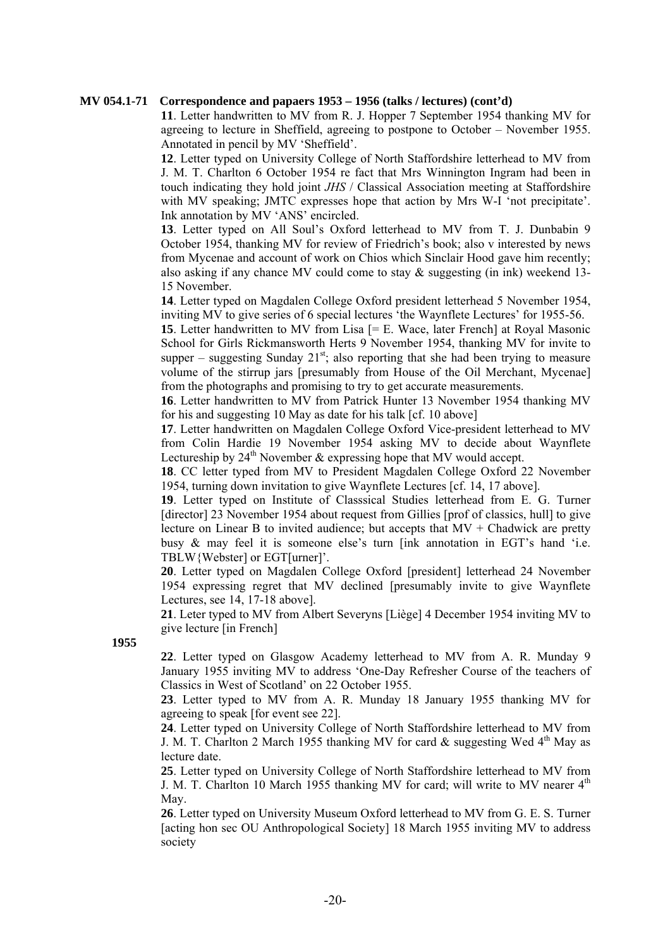# **MV 054.1-71 Correspondence and papaers 1953 – 1956 (talks / lectures) (cont'd)**

**11**. Letter handwritten to MV from R. J. Hopper 7 September 1954 thanking MV for agreeing to lecture in Sheffield, agreeing to postpone to October – November 1955. Annotated in pencil by MV 'Sheffield'.

**12**. Letter typed on University College of North Staffordshire letterhead to MV from J. M. T. Charlton 6 October 1954 re fact that Mrs Winnington Ingram had been in touch indicating they hold joint *JHS* / Classical Association meeting at Staffordshire with MV speaking; JMTC expresses hope that action by Mrs W-I 'not precipitate'. Ink annotation by MV 'ANS' encircled.

**13**. Letter typed on All Soul's Oxford letterhead to MV from T. J. Dunbabin 9 October 1954, thanking MV for review of Friedrich's book; also v interested by news from Mycenae and account of work on Chios which Sinclair Hood gave him recently; also asking if any chance MV could come to stay  $\&$  suggesting (in ink) weekend 13-15 November.

**14**. Letter typed on Magdalen College Oxford president letterhead 5 November 1954, inviting MV to give series of 6 special lectures 'the Waynflete Lectures' for 1955-56.

**15**. Letter handwritten to MV from Lisa [= E. Wace, later French] at Royal Masonic School for Girls Rickmansworth Herts 9 November 1954, thanking MV for invite to supper – suggesting Sunday  $21^{st}$ ; also reporting that she had been trying to measure volume of the stirrup jars [presumably from House of the Oil Merchant, Mycenae] from the photographs and promising to try to get accurate measurements.

**16**. Letter handwritten to MV from Patrick Hunter 13 November 1954 thanking MV for his and suggesting 10 May as date for his talk [cf. 10 above]

**17**. Letter handwritten on Magdalen College Oxford Vice-president letterhead to MV from Colin Hardie 19 November 1954 asking MV to decide about Waynflete Lectureship by  $24<sup>th</sup>$  November & expressing hope that MV would accept.

**18**. CC letter typed from MV to President Magdalen College Oxford 22 November 1954, turning down invitation to give Waynflete Lectures [cf. 14, 17 above].

**19**. Letter typed on Institute of Classsical Studies letterhead from E. G. Turner [director] 23 November 1954 about request from Gillies [prof of classics, hull] to give lecture on Linear B to invited audience; but accepts that  $MV + Chadwick$  are pretty busy & may feel it is someone else's turn [ink annotation in EGT's hand 'i.e. TBLW{Webster] or EGT[urner]'.

**20**. Letter typed on Magdalen College Oxford [president] letterhead 24 November 1954 expressing regret that MV declined [presumably invite to give Waynflete Lectures, see 14, 17-18 above].

**21**. Leter typed to MV from Albert Severyns [Liège] 4 December 1954 inviting MV to give lecture [in French]

**1955** 

**22**. Letter typed on Glasgow Academy letterhead to MV from A. R. Munday 9 January 1955 inviting MV to address 'One-Day Refresher Course of the teachers of Classics in West of Scotland' on 22 October 1955.

**23**. Letter typed to MV from A. R. Munday 18 January 1955 thanking MV for agreeing to speak [for event see 22].

**24**. Letter typed on University College of North Staffordshire letterhead to MV from J. M. T. Charlton 2 March 1955 thanking MV for card  $\&$  suggesting Wed 4<sup>th</sup> May as lecture date.

**25**. Letter typed on University College of North Staffordshire letterhead to MV from J. M. T. Charlton 10 March 1955 thanking MV for card; will write to MV nearer  $4<sup>th</sup>$ May.

**26**. Letter typed on University Museum Oxford letterhead to MV from G. E. S. Turner [acting hon sec OU Anthropological Society] 18 March 1955 inviting MV to address society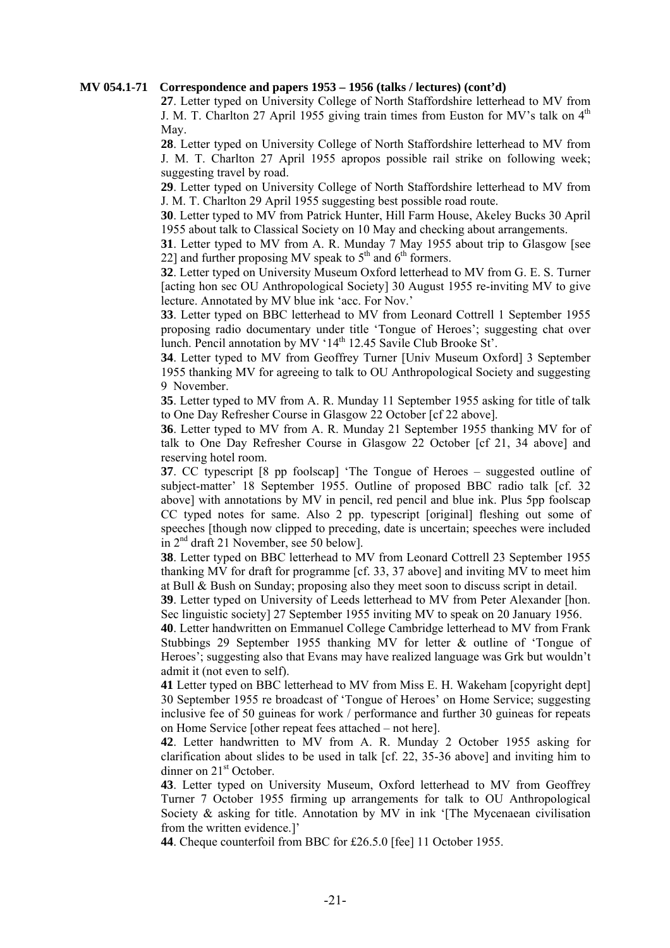#### **MV 054.1-71 Correspondence and papers 1953 – 1956 (talks / lectures) (cont'd)**

**27**. Letter typed on University College of North Staffordshire letterhead to MV from J. M. T. Charlton 27 April 1955 giving train times from Euston for MV's talk on 4<sup>th</sup> May.

**28**. Letter typed on University College of North Staffordshire letterhead to MV from J. M. T. Charlton 27 April 1955 apropos possible rail strike on following week; suggesting travel by road.

**29**. Letter typed on University College of North Staffordshire letterhead to MV from J. M. T. Charlton 29 April 1955 suggesting best possible road route.

**30**. Letter typed to MV from Patrick Hunter, Hill Farm House, Akeley Bucks 30 April 1955 about talk to Classical Society on 10 May and checking about arrangements.

**31**. Letter typed to MV from A. R. Munday 7 May 1955 about trip to Glasgow [see 22] and further proposing MV speak to  $5<sup>th</sup>$  and  $6<sup>th</sup>$  formers.

**32**. Letter typed on University Museum Oxford letterhead to MV from G. E. S. Turner [acting hon sec OU Anthropological Society] 30 August 1955 re-inviting MV to give lecture. Annotated by MV blue ink 'acc. For Nov.'

**33**. Letter typed on BBC letterhead to MV from Leonard Cottrell 1 September 1955 proposing radio documentary under title 'Tongue of Heroes'; suggesting chat over lunch. Pencil annotation by MV '14<sup>th</sup> 12.45 Savile Club Brooke St'.

**34**. Letter typed to MV from Geoffrey Turner [Univ Museum Oxford] 3 September 1955 thanking MV for agreeing to talk to OU Anthropological Society and suggesting 9 November.

**35**. Letter typed to MV from A. R. Munday 11 September 1955 asking for title of talk to One Day Refresher Course in Glasgow 22 October [cf 22 above].

**36**. Letter typed to MV from A. R. Munday 21 September 1955 thanking MV for of talk to One Day Refresher Course in Glasgow 22 October [cf 21, 34 above] and reserving hotel room.

**37**. CC typescript [8 pp foolscap] 'The Tongue of Heroes – suggested outline of subject-matter' 18 September 1955. Outline of proposed BBC radio talk [cf. 32 above] with annotations by MV in pencil, red pencil and blue ink. Plus 5pp foolscap CC typed notes for same. Also 2 pp. typescript [original] fleshing out some of speeches [though now clipped to preceding, date is uncertain; speeches were included in 2nd draft 21 November, see 50 below].

**38**. Letter typed on BBC letterhead to MV from Leonard Cottrell 23 September 1955 thanking MV for draft for programme [cf. 33, 37 above] and inviting MV to meet him at Bull & Bush on Sunday; proposing also they meet soon to discuss script in detail.

**39**. Letter typed on University of Leeds letterhead to MV from Peter Alexander [hon. Sec linguistic society] 27 September 1955 inviting MV to speak on 20 January 1956.

**40**. Letter handwritten on Emmanuel College Cambridge letterhead to MV from Frank Stubbings 29 September 1955 thanking MV for letter & outline of 'Tongue of Heroes'; suggesting also that Evans may have realized language was Grk but wouldn't admit it (not even to self).

**41** Letter typed on BBC letterhead to MV from Miss E. H. Wakeham [copyright dept] 30 September 1955 re broadcast of 'Tongue of Heroes' on Home Service; suggesting inclusive fee of 50 guineas for work / performance and further 30 guineas for repeats on Home Service [other repeat fees attached – not here].

**42**. Letter handwritten to MV from A. R. Munday 2 October 1955 asking for clarification about slides to be used in talk [cf. 22, 35-36 above] and inviting him to dinner on 21<sup>st</sup> October.

**43**. Letter typed on University Museum, Oxford letterhead to MV from Geoffrey Turner 7 October 1955 firming up arrangements for talk to OU Anthropological Society  $\&$  asking for title. Annotation by MV in ink '[The Mycenaean civilisation from the written evidence.]'

**44**. Cheque counterfoil from BBC for £26.5.0 [fee] 11 October 1955.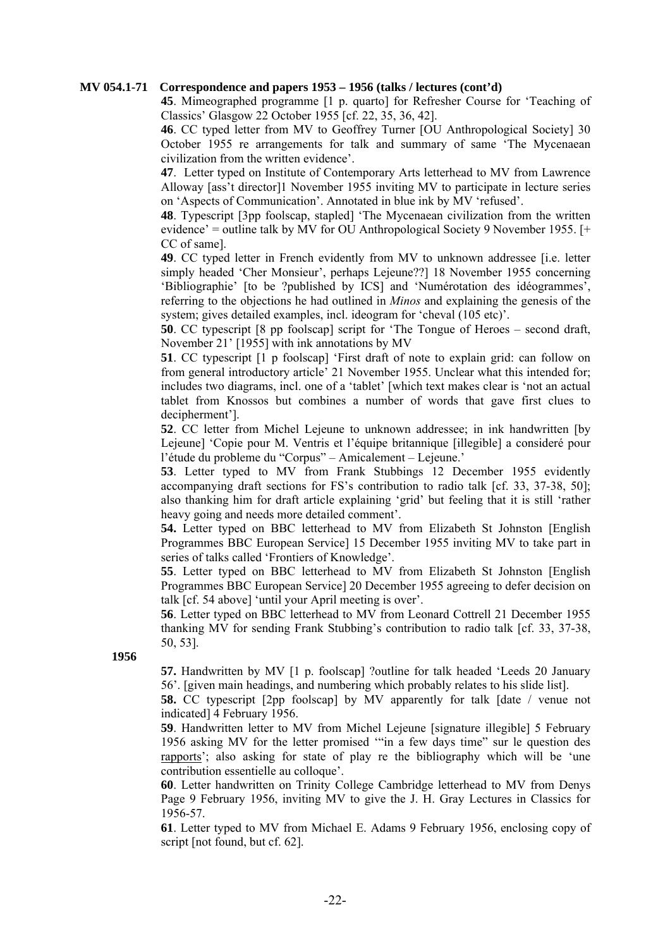#### **MV 054.1-71 Correspondence and papers 1953 – 1956 (talks / lectures (cont'd)**

**45**. Mimeographed programme [1 p. quarto] for Refresher Course for 'Teaching of Classics' Glasgow 22 October 1955 [cf. 22, 35, 36, 42].

**46**. CC typed letter from MV to Geoffrey Turner [OU Anthropological Society] 30 October 1955 re arrangements for talk and summary of same 'The Mycenaean civilization from the written evidence'.

**47**. Letter typed on Institute of Contemporary Arts letterhead to MV from Lawrence Alloway [ass't director]1 November 1955 inviting MV to participate in lecture series on 'Aspects of Communication'. Annotated in blue ink by MV 'refused'.

**48**. Typescript [3pp foolscap, stapled] 'The Mycenaean civilization from the written evidence' = outline talk by MV for OU Anthropological Society 9 November 1955. [+ CC of same].

**49**. CC typed letter in French evidently from MV to unknown addressee [i.e. letter simply headed 'Cher Monsieur', perhaps Lejeune??] 18 November 1955 concerning 'Bibliographie' [to be ?published by ICS] and 'Numérotation des idéogrammes', referring to the objections he had outlined in *Minos* and explaining the genesis of the system; gives detailed examples, incl. ideogram for 'cheval (105 etc)'.

**50**. CC typescript [8 pp foolscap] script for 'The Tongue of Heroes – second draft, November 21' [1955] with ink annotations by MV

**51**. CC typescript [1 p foolscap] 'First draft of note to explain grid: can follow on from general introductory article' 21 November 1955. Unclear what this intended for; includes two diagrams, incl. one of a 'tablet' [which text makes clear is 'not an actual tablet from Knossos but combines a number of words that gave first clues to decipherment'].

**52**. CC letter from Michel Lejeune to unknown addressee; in ink handwritten [by Lejeune] 'Copie pour M. Ventris et l'équipe britannique [illegible] a consideré pour l'étude du probleme du "Corpus" – Amicalement – Lejeune.'

**53**. Letter typed to MV from Frank Stubbings 12 December 1955 evidently accompanying draft sections for FS's contribution to radio talk [cf. 33, 37-38, 50]; also thanking him for draft article explaining 'grid' but feeling that it is still 'rather heavy going and needs more detailed comment'.

**54.** Letter typed on BBC letterhead to MV from Elizabeth St Johnston [English Programmes BBC European Service] 15 December 1955 inviting MV to take part in series of talks called 'Frontiers of Knowledge'.

**55**. Letter typed on BBC letterhead to MV from Elizabeth St Johnston [English Programmes BBC European Service] 20 December 1955 agreeing to defer decision on talk [cf. 54 above] 'until your April meeting is over'.

**56**. Letter typed on BBC letterhead to MV from Leonard Cottrell 21 December 1955 thanking MV for sending Frank Stubbing's contribution to radio talk [cf. 33, 37-38, 50, 53].

**1956** 

**57.** Handwritten by MV [1 p. foolscap] ?outline for talk headed 'Leeds 20 January 56'. [given main headings, and numbering which probably relates to his slide list].

**58.** CC typescript [2pp foolscap] by MV apparently for talk [date / venue not indicated] 4 February 1956.

**59**. Handwritten letter to MV from Michel Lejeune [signature illegible] 5 February 1956 asking MV for the letter promised '"in a few days time" sur le question des rapports'; also asking for state of play re the bibliography which will be 'une contribution essentielle au colloque'.

**60**. Letter handwritten on Trinity College Cambridge letterhead to MV from Denys Page 9 February 1956, inviting MV to give the J. H. Gray Lectures in Classics for 1956-57.

**61**. Letter typed to MV from Michael E. Adams 9 February 1956, enclosing copy of script [not found, but cf. 62].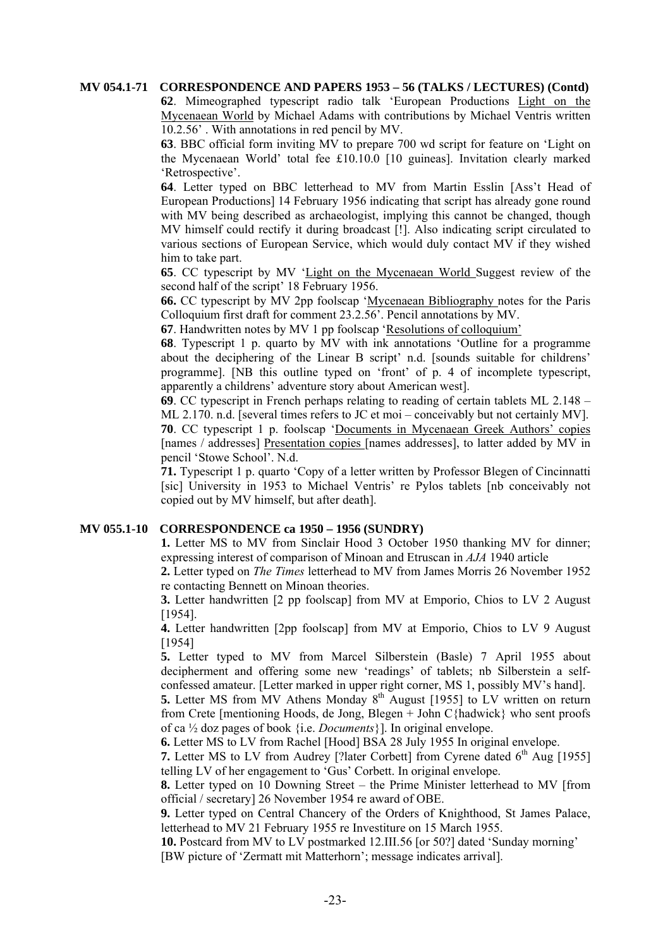#### **MV 054.1-71 CORRESPONDENCE AND PAPERS 1953 – 56 (TALKS / LECTURES) (Contd)**

**62**. Mimeographed typescript radio talk 'European Productions Light on the Mycenaean World by Michael Adams with contributions by Michael Ventris written 10.2.56' . With annotations in red pencil by MV.

**63**. BBC official form inviting MV to prepare 700 wd script for feature on 'Light on the Mycenaean World' total fee £10.10.0 [10 guineas]. Invitation clearly marked 'Retrospective'.

**64**. Letter typed on BBC letterhead to MV from Martin Esslin [Ass't Head of European Productions] 14 February 1956 indicating that script has already gone round with MV being described as archaeologist, implying this cannot be changed, though MV himself could rectify it during broadcast [!]. Also indicating script circulated to various sections of European Service, which would duly contact MV if they wished him to take part.

**65**. CC typescript by MV 'Light on the Mycenaean World Suggest review of the second half of the script' 18 February 1956.

**66.** CC typescript by MV 2pp foolscap 'Mycenaean Bibliography notes for the Paris Colloquium first draft for comment 23.2.56'. Pencil annotations by MV.

**67**. Handwritten notes by MV 1 pp foolscap 'Resolutions of colloquium'

**68**. Typescript 1 p. quarto by MV with ink annotations 'Outline for a programme about the deciphering of the Linear B script' n.d. [sounds suitable for childrens' programme]. [NB this outline typed on 'front' of p. 4 of incomplete typescript, apparently a childrens' adventure story about American west].

**69**. CC typescript in French perhaps relating to reading of certain tablets ML 2.148 – ML 2.170. n.d. [several times refers to JC et moi – conceivably but not certainly MV]. **70**. CC typescript 1 p. foolscap 'Documents in Mycenaean Greek Authors' copies [names / addresses] Presentation copies [names addresses], to latter added by MV in pencil 'Stowe School'. N.d.

**71.** Typescript 1 p. quarto 'Copy of a letter written by Professor Blegen of Cincinnatti [sic] University in 1953 to Michael Ventris' re Pylos tablets [nb conceivably not copied out by MV himself, but after death].

# **MV 055.1-10 CORRESPONDENCE ca 1950 – 1956 (SUNDRY)**

**1.** Letter MS to MV from Sinclair Hood 3 October 1950 thanking MV for dinner; expressing interest of comparison of Minoan and Etruscan in *AJA* 1940 article

**2.** Letter typed on *The Times* letterhead to MV from James Morris 26 November 1952 re contacting Bennett on Minoan theories.

**3.** Letter handwritten [2 pp foolscap] from MV at Emporio, Chios to LV 2 August [1954].

**4.** Letter handwritten [2pp foolscap] from MV at Emporio, Chios to LV 9 August [1954]

**5.** Letter typed to MV from Marcel Silberstein (Basle) 7 April 1955 about decipherment and offering some new 'readings' of tablets; nb Silberstein a selfconfessed amateur. [Letter marked in upper right corner, MS 1, possibly MV's hand].

**5.** Letter MS from MV Athens Monday 8<sup>th</sup> August [1955] to LV written on return from Crete [mentioning Hoods, de Jong, Blegen + John C{hadwick} who sent proofs of ca ½ doz pages of book {i.e. *Documents*}]. In original envelope.

**6.** Letter MS to LV from Rachel [Hood] BSA 28 July 1955 In original envelope.

**7.** Letter MS to LV from Audrey [?later Corbett] from Cyrene dated  $6<sup>th</sup>$  Aug [1955] telling LV of her engagement to 'Gus' Corbett. In original envelope.

**8.** Letter typed on 10 Downing Street – the Prime Minister letterhead to MV [from official / secretary] 26 November 1954 re award of OBE.

**9.** Letter typed on Central Chancery of the Orders of Knighthood, St James Palace, letterhead to MV 21 February 1955 re Investiture on 15 March 1955.

**10.** Postcard from MV to LV postmarked 12.III.56 [or 50?] dated 'Sunday morning' [BW picture of 'Zermatt mit Matterhorn'; message indicates arrival].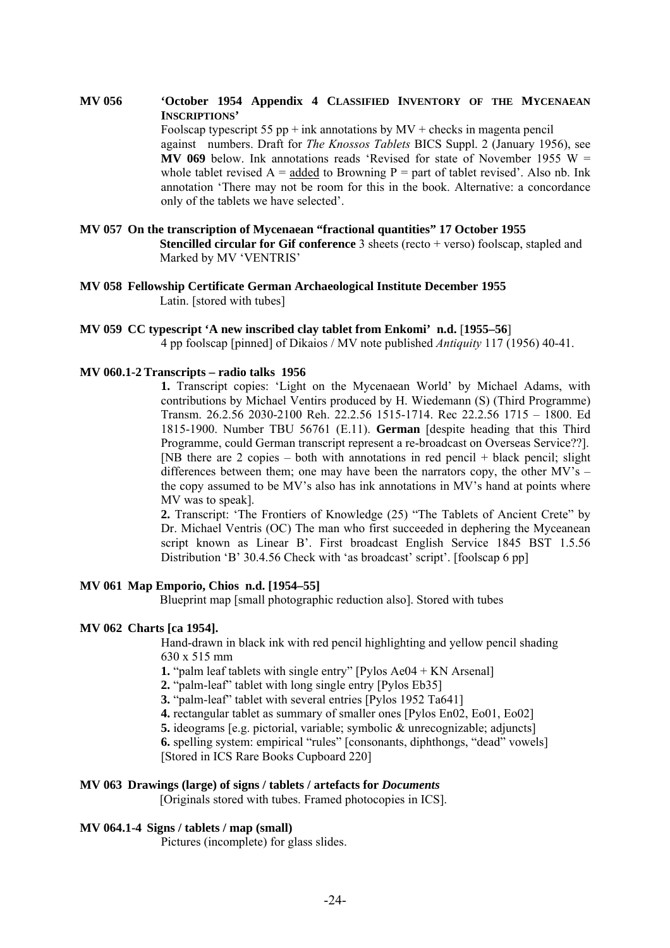#### **MV 056 'October 1954 Appendix 4 CLASSIFIED INVENTORY OF THE MYCENAEAN INSCRIPTIONS'**

Foolscap typescript 55 pp + ink annotations by  $MV$  + checks in magenta pencil against numbers. Draft for *The Knossos Tablets* BICS Suppl. 2 (January 1956), see **MV 069** below. Ink annotations reads 'Revised for state of November 1955 W = whole tablet revised  $A =$  added to Browning P = part of tablet revised'. Also nb. Ink annotation 'There may not be room for this in the book. Alternative: a concordance only of the tablets we have selected'.

#### **MV 057 On the transcription of Mycenaean "fractional quantities" 17 October 1955 Stencilled circular for Gif conference** 3 sheets (recto + verso) foolscap, stapled and Marked by MV 'VENTRIS'

**MV 058 Fellowship Certificate German Archaeological Institute December 1955**  Latin. [stored with tubes]

#### **MV 059 CC typescript 'A new inscribed clay tablet from Enkomi' n.d.** [**1955–56**]

4 pp foolscap [pinned] of Dikaios / MV note published *Antiquity* 117 (1956) 40-41.

# **MV 060.1-2 Transcripts – radio talks 1956**

**1.** Transcript copies: 'Light on the Mycenaean World' by Michael Adams, with contributions by Michael Ventirs produced by H. Wiedemann (S) (Third Programme) Transm. 26.2.56 2030-2100 Reh. 22.2.56 1515-1714. Rec 22.2.56 1715 – 1800. Ed 1815-1900. Number TBU 56761 (E.11). **German** [despite heading that this Third Programme, could German transcript represent a re-broadcast on Overseas Service??]. [NB there are 2 copies – both with annotations in red pencil + black pencil; slight differences between them; one may have been the narrators copy, the other  $MV's$  – the copy assumed to be MV's also has ink annotations in MV's hand at points where MV was to speak].

**2.** Transcript: 'The Frontiers of Knowledge (25) "The Tablets of Ancient Crete" by Dr. Michael Ventris (OC) The man who first succeeded in dephering the Myceanean script known as Linear B'. First broadcast English Service 1845 BST 1.5.56 Distribution 'B' 30.4.56 Check with 'as broadcast' script'. [foolscap 6 pp]

#### **MV 061 Map Emporio, Chios n.d. [1954–55]**

Blueprint map [small photographic reduction also]. Stored with tubes

#### **MV 062 Charts [ca 1954].**

Hand-drawn in black ink with red pencil highlighting and yellow pencil shading 630 x 515 mm

**1.** "palm leaf tablets with single entry" [Pylos Ae04 + KN Arsenal]

**2.** "palm-leaf" tablet with long single entry [Pylos Eb35]

**3.** "palm-leaf" tablet with several entries [Pylos 1952 Ta641]

**4.** rectangular tablet as summary of smaller ones [Pylos En02, Eo01, Eo02]

**5.** ideograms [e.g. pictorial, variable; symbolic & unrecognizable; adjuncts]

**6.** spelling system: empirical "rules" [consonants, diphthongs, "dead" vowels] [Stored in ICS Rare Books Cupboard 220]

# **MV 063 Drawings (large) of signs / tablets / artefacts for** *Documents*

[Originals stored with tubes. Framed photocopies in ICS].

#### **MV 064.1-4 Signs / tablets / map (small)**

Pictures (incomplete) for glass slides.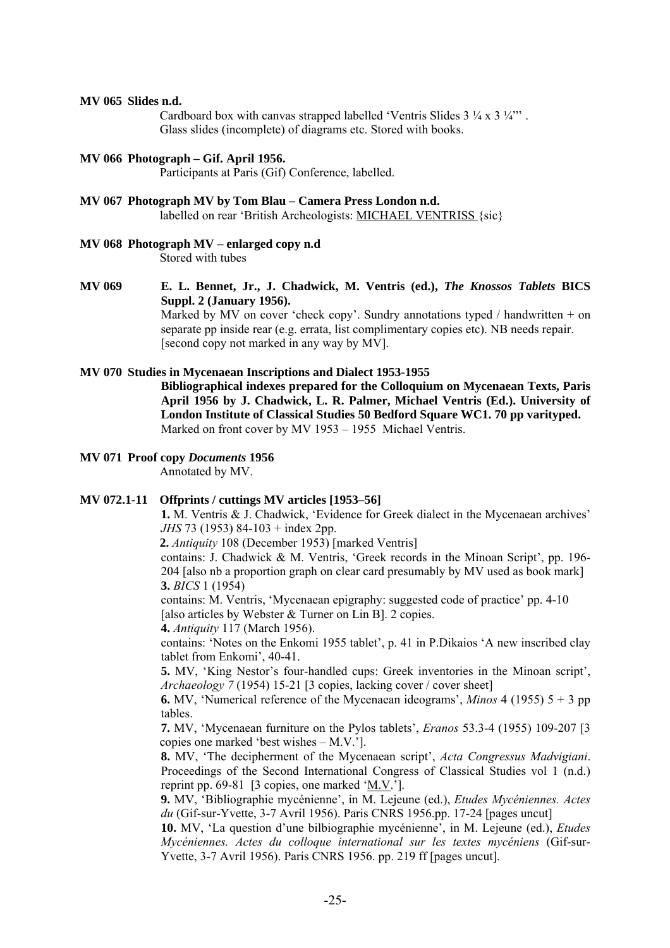#### **MV 065 Slides n.d.**

Cardboard box with canvas strapped labelled 'Ventris Slides 3  $\frac{1}{4}$  x 3  $\frac{1}{4}$ "'. Glass slides (incomplete) of diagrams etc. Stored with books.

#### **MV 066 Photograph – Gif. April 1956.**

Participants at Paris (Gif) Conference, labelled.

#### **MV 067 Photograph MV by Tom Blau – Camera Press London n.d.**

labelled on rear 'British Archeologists: MICHAEL VENTRISS {sic}

# **MV 068 Photograph MV – enlarged copy n.d**

Stored with tubes

# **MV 069 E. L. Bennet, Jr., J. Chadwick, M. Ventris (ed.),** *The Knossos Tablets* **BICS Suppl. 2 (January 1956).**

Marked by MV on cover 'check copy'. Sundry annotations typed / handwritten + on separate pp inside rear (e.g. errata, list complimentary copies etc). NB needs repair. [second copy not marked in any way by MV].

#### **MV 070 Studies in Mycenaean Inscriptions and Dialect 1953-1955**

**Bibliographical indexes prepared for the Colloquium on Mycenaean Texts, Paris April 1956 by J. Chadwick, L. R. Palmer, Michael Ventris (Ed.). University of London Institute of Classical Studies 50 Bedford Square WC1. 70 pp varityped.**  Marked on front cover by MV 1953 – 1955 Michael Ventris.

# **MV 071 Proof copy** *Documents* **1956**

Annotated by MV.

# **MV 072.1-11 Offprints / cuttings MV articles [1953–56]**

**1.** M. Ventris & J. Chadwick, 'Evidence for Greek dialect in the Mycenaean archives' *JHS* 73 (1953) 84-103 + index 2pp.

**2.** *Antiquity* 108 (December 1953) [marked Ventris]

contains: J. Chadwick & M. Ventris, 'Greek records in the Minoan Script', pp. 196- 204 [also nb a proportion graph on clear card presumably by MV used as book mark] **3.** *BICS* 1 (1954)

contains: M. Ventris, 'Mycenaean epigraphy: suggested code of practice' pp. 4-10 [also articles by Webster & Turner on Lin B]. 2 copies.

**4.** *Antiquity* 117 (March 1956).

contains: 'Notes on the Enkomi 1955 tablet', p. 41 in P.Dikaios 'A new inscribed clay tablet from Enkomi', 40-41.

**5.** MV, 'King Nestor's four-handled cups: Greek inventories in the Minoan script', *Archaeology 7* (1954) 15-21 [3 copies, lacking cover / cover sheet]

**6.** MV, 'Numerical reference of the Mycenaean ideograms', *Minos* 4 (1955) 5 + 3 pp tables.

**7.** MV, 'Mycenaean furniture on the Pylos tablets', *Eranos* 53.3-4 (1955) 109-207 [3 copies one marked 'best wishes – M.V.'].

**8.** MV, 'The decipherment of the Mycenaean script', *Acta Congressus Madvigiani*. Proceedings of the Second International Congress of Classical Studies vol 1 (n.d.) reprint pp. 69-81 [3 copies, one marked 'M.V.'].

**9.** MV, 'Bibliographie mycénienne', in M. Lejeune (ed.), *Etudes Mycéniennes. Actes du* (Gif-sur-Yvette, 3-7 Avril 1956). Paris CNRS 1956.pp. 17-24 [pages uncut]

**10.** MV, 'La question d'une bilbiographie mycénienne', in M. Lejeune (ed.), *Etudes Mycéniennes. Actes du colloque international sur les textes mycéniens* (Gif-sur-Yvette, 3-7 Avril 1956). Paris CNRS 1956. pp. 219 ff [pages uncut].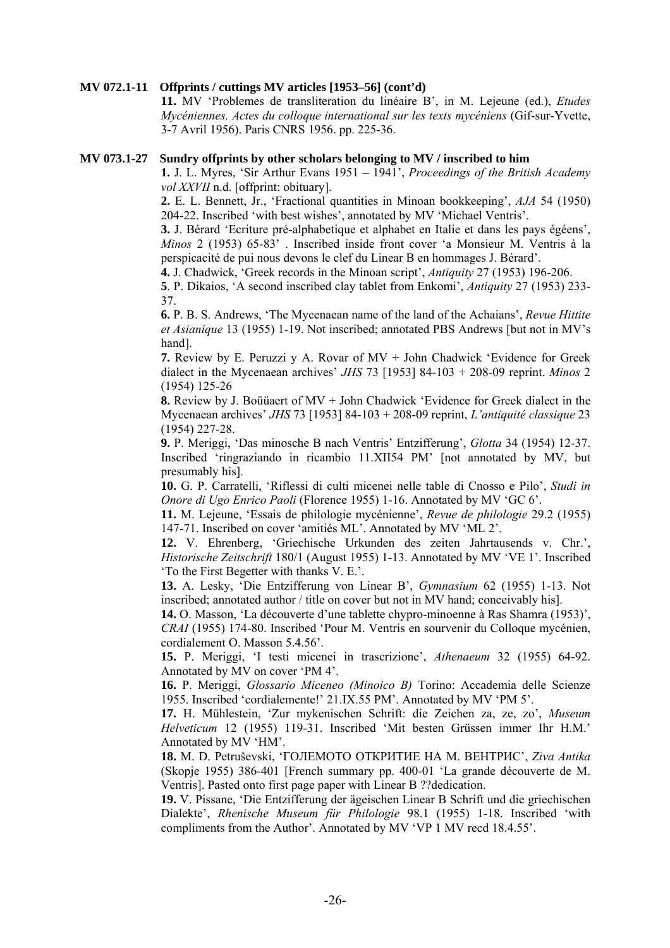#### **MV 072.1-11 Offprints / cuttings MV articles [1953–56] (cont'd)**

**11.** MV 'Problemes de transliteration du linéaire B', in M. Lejeune (ed.), *Etudes Mycéniennes. Actes du colloque international sur les texts mycéniens* (Gif-sur-Yvette, 3-7 Avril 1956). Paris CNRS 1956. pp. 225-36.

#### **MV 073.1-27 Sundry offprints by other scholars belonging to MV / inscribed to him**

**1.** J. L. Myres, 'Sir Arthur Evans 1951 – 1941', *Proceedings of the British Academy vol XXVII* n.d. [offprint: obituary].

**2.** E. L. Bennett, Jr., 'Fractional quantities in Minoan bookkeeping', *AJA* 54 (1950) 204-22. Inscribed 'with best wishes', annotated by MV 'Michael Ventris'.

**3.** J. Bérard 'Ecriture pré-alphabetique et alphabet en Italie et dans les pays égéens', *Minos* 2 (1953) 65-83' . Inscribed inside front cover 'a Monsieur M. Ventris à la perspicacité de pui nous devons le clef du Linear B en hommages J. Bérard'.

**4.** J. Chadwick, 'Greek records in the Minoan script', *Antiquity* 27 (1953) 196-206.

**5**. P. Dikaios, 'A second inscribed clay tablet from Enkomi', *Antiquity* 27 (1953) 233- 37.

**6.** P. B. S. Andrews, 'The Mycenaean name of the land of the Achaians', *Revue Hittite et Asianique* 13 (1955) 1-19. Not inscribed; annotated PBS Andrews [but not in MV's hand].

**7.** Review by E. Peruzzi y A. Rovar of MV + John Chadwick 'Evidence for Greek dialect in the Mycenaean archives' *JHS* 73 [1953] 84-103 + 208-09 reprint. *Minos* 2 (1954) 125-26

**8.** Review by J. Boüüaert of MV + John Chadwick 'Evidence for Greek dialect in the Mycenaean archives' *JHS* 73 [1953] 84-103 + 208-09 reprint, *L'antiquité classique* 23 (1954) 227-28.

**9.** P. Meriggi, 'Das minosche B nach Ventris' Entzifferung', *Glotta* 34 (1954) 12-37. Inscribed 'ringraziando in ricambio 11.XII54 PM' [not annotated by MV, but presumably his].

**10.** G. P. Carratelli, 'Riflessi di culti micenei nelle table di Cnosso e Pilo', *Studi in Onore di Ugo Enrico Paoli* (Florence 1955) 1-16. Annotated by MV 'GC 6'.

**11.** M. Lejeune, 'Essais de philologie mycénienne', *Revue de philologie* 29.2 (1955) 147-71. Inscribed on cover 'amitiés ML'. Annotated by MV 'ML 2'.

**12.** V. Ehrenberg, 'Griechische Urkunden des zeiten Jahrtausends v. Chr.', *Historische Zeitschrift* 180/1 (August 1955) 1-13. Annotated by MV 'VE 1'. Inscribed 'To the First Begetter with thanks V. E.'.

**13.** A. Lesky, 'Die Entzifferung von Linear B', *Gymnasium* 62 (1955) 1-13. Not inscribed; annotated author / title on cover but not in MV hand; conceivably his].

**14.** O. Masson, 'La découverte d'une tablette chypro-minoenne à Ras Shamra (1953)', *CRAI* (1955) 174-80. Inscribed 'Pour M. Ventris en sourvenir du Colloque mycénien, cordialement O. Masson 5.4.56'.

**15.** P. Meriggi, 'I testi micenei in trascrizione', *Athenaeum* 32 (1955) 64-92. Annotated by MV on cover 'PM 4'.

**16.** P. Meriggi, *Glossario Miceneo (Minoico B)* Torino: Accademia delle Scienze 1955. Inscribed 'cordialemente!' 21.IX.55 PM'. Annotated by MV 'PM 5'.

**17.** H. Mühlestein, 'Zur mykenischen Schrift: die Zeichen za, ze, zo', *Museum Helveticum* 12 (1955) 119-31. Inscribed 'Mit besten Grüssen immer Ihr H.M.' Annotated by MV 'HM'.

**18.** M. D. Petruševski, 'ГОЛЕМОТО ОТКРИТИЕ НА М. ВЕНТРИС', *Ziva Antika* (Skopje 1955) 386-401 [French summary pp. 400-01 'La grande découverte de M. Ventris]. Pasted onto first page paper with Linear B ??dedication.

**19.** V. Pissane, 'Die Entzifferung der ägeischen Linear B Schrift und die griechischen Dialekte', *Rhenische Museum für Philologie* 98.1 (1955) 1-18. Inscribed 'with compliments from the Author'. Annotated by MV 'VP 1 MV recd 18.4.55'.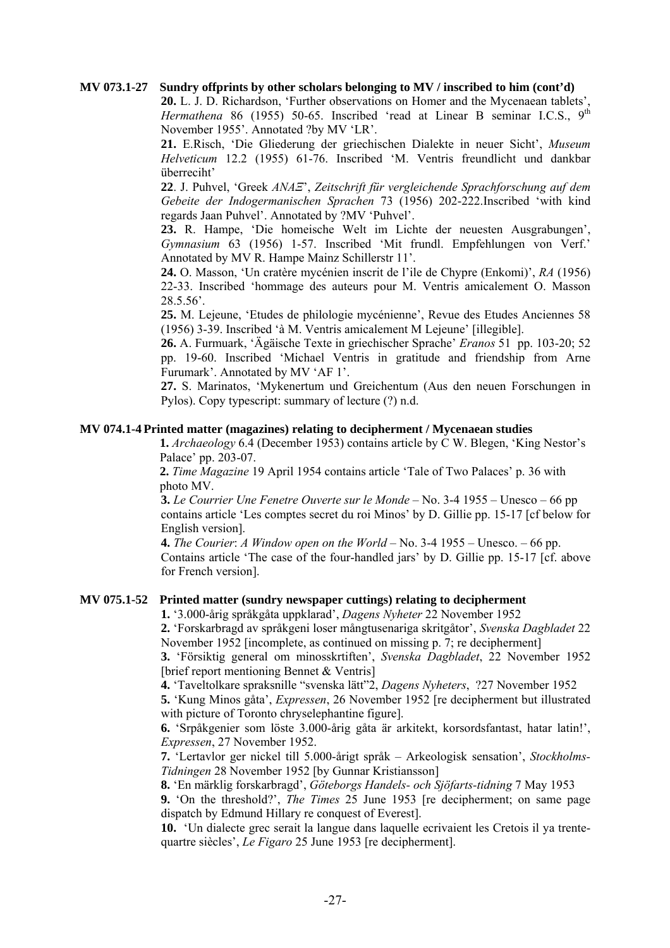#### **MV 073.1-27 Sundry offprints by other scholars belonging to MV / inscribed to him (cont'd)**

**20.** L. J. D. Richardson, 'Further observations on Homer and the Mycenaean tablets', *Hermathena* 86 (1955) 50-65. Inscribed 'read at Linear B seminar I.C.S., 9<sup>th</sup> November 1955'. Annotated ?by MV 'LR'.

**21.** E.Risch, 'Die Gliederung der griechischen Dialekte in neuer Sicht', *Museum Helveticum* 12.2 (1955) 61-76. Inscribed 'M. Ventris freundlicht und dankbar überreciht'

**22**. J. Puhvel, 'Greek *ΑΝΑΞ*', *Zeitschrift für vergleichende Sprachforschung auf dem Gebeite der Indogermanischen Sprachen* 73 (1956) 202-222.Inscribed 'with kind regards Jaan Puhvel'. Annotated by ?MV 'Puhvel'.

**23.** R. Hampe, 'Die homeische Welt im Lichte der neuesten Ausgrabungen', *Gymnasium* 63 (1956) 1-57. Inscribed 'Mit frundl. Empfehlungen von Verf.' Annotated by MV R. Hampe Mainz Schillerstr 11'.

**24.** O. Masson, 'Un cratère mycénien inscrit de l'ile de Chypre (Enkomi)', *RA* (1956) 22-33. Inscribed 'hommage des auteurs pour M. Ventris amicalement O. Masson 28.5.56'.

**25.** M. Lejeune, 'Etudes de philologie mycénienne', Revue des Etudes Anciennes 58 (1956) 3-39. Inscribed 'à M. Ventris amicalement M Lejeune' [illegible].

**26.** A. Furmuark, 'Ägäische Texte in griechischer Sprache' *Eranos* 51 pp. 103-20; 52 pp. 19-60. Inscribed 'Michael Ventris in gratitude and friendship from Arne Furumark'. Annotated by MV 'AF 1'.

**27.** S. Marinatos, 'Mykenertum und Greichentum (Aus den neuen Forschungen in Pylos). Copy typescript: summary of lecture (?) n.d.

#### **MV 074.1-4 Printed matter (magazines) relating to decipherment / Mycenaean studies**

 **1.** *Archaeology* 6.4 (December 1953) contains article by C W. Blegen, 'King Nestor's Palace' pp. 203-07.

 **2.** *Time Magazine* 19 April 1954 contains article 'Tale of Two Palaces' p. 36 with photo MV.

**3.** *Le Courrier Une Fenetre Ouverte sur le Monde* – No. 3-4 1955 – Unesco – 66 pp contains article 'Les comptes secret du roi Minos' by D. Gillie pp. 15-17 [cf below for English version].

**4.** *The Courier*: *A Window open on the World* – No. 3-4 1955 – Unesco. – 66 pp. Contains article 'The case of the four-handled jars' by D. Gillie pp. 15-17 [cf. above for French version].

# **MV 075.1-52 Printed matter (sundry newspaper cuttings) relating to decipherment**

**1.** '3.000-årig språkgåta uppklarad', *Dagens Nyheter* 22 November 1952

**2.** 'Forskarbragd av språkgeni loser mångtusenariga skritgåtor', *Svenska Dagbladet* 22 November 1952 [incomplete, as continued on missing p. 7; re decipherment]

**3.** 'Försiktig general om minosskrtiften', *Svenska Dagbladet*, 22 November 1952 [brief report mentioning Bennet & Ventris]

**4.** 'Taveltolkare spraksnille "svenska lätt"2, *Dagens Nyheters*, ?27 November 1952

**5.** 'Kung Minos gåta', *Expressen*, 26 November 1952 [re decipherment but illustrated with picture of Toronto chryselephantine figure].

**6.** 'Srpåkgenier som löste 3.000-årig gåta är arkitekt, korsordsfantast, hatar latin!', *Expressen*, 27 November 1952.

**7.** 'Lertavlor ger nickel till 5.000-årigt språk – Arkeologisk sensation', *Stockholms-Tidningen* 28 November 1952 [by Gunnar Kristiansson]

**8.** 'En märklig forskarbragd', *Göteborgs Handels- och Sjöfarts-tidning* 7 May 1953

**9.** 'On the threshold?', *The Times* 25 June 1953 [re decipherment; on same page dispatch by Edmund Hillary re conquest of Everest].

**10.** 'Un dialecte grec serait la langue dans laquelle ecrivaient les Cretois il ya trentequartre siècles', *Le Figaro* 25 June 1953 [re decipherment].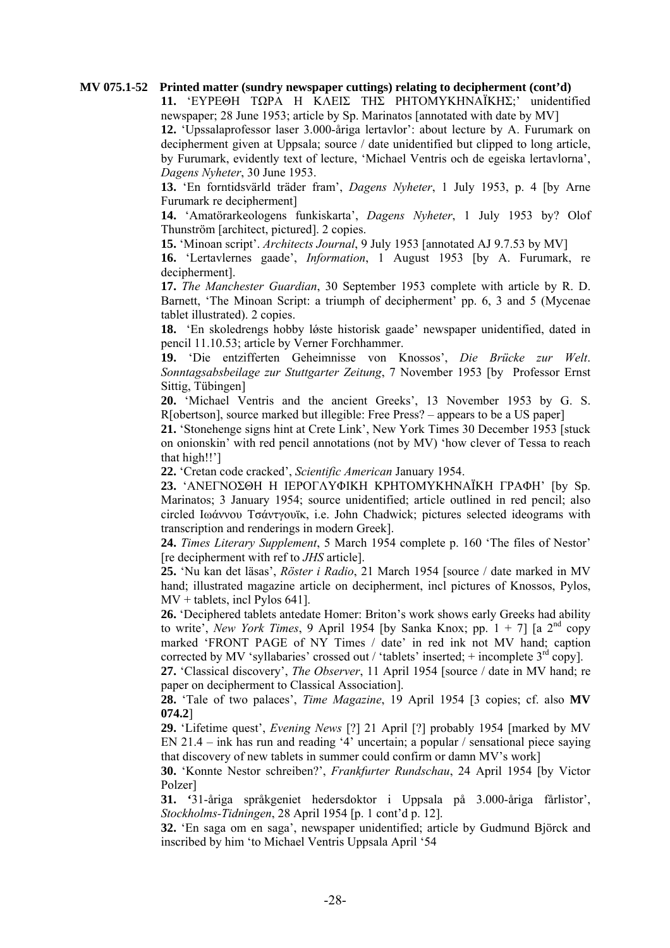#### **MV 075.1-52 Printed matter (sundry newspaper cuttings) relating to decipherment (cont'd)**

**11.** 'ΕΥΡΕΘΗ ΤΩΡΑ Η ΚΛΕΙΣ ΤΗΣ ΡΗΤΟΜΥΚΗΝΑΪΚΗΣ;' unidentified newspaper; 28 June 1953; article by Sp. Marinatos [annotated with date by MV]

**12.** 'Upssalaprofessor laser 3.000-åriga lertavlor': about lecture by A. Furumark on decipherment given at Uppsala; source / date unidentified but clipped to long article, by Furumark, evidently text of lecture, 'Michael Ventris och de egeiska lertavlorna', *Dagens Nyheter*, 30 June 1953.

**13.** 'En forntidsvärld träder fram', *Dagens Nyheter*, 1 July 1953, p. 4 [by Arne Furumark re decipherment]

**14.** 'Amatörarkeologens funkiskarta', *Dagens Nyheter*, 1 July 1953 by? Olof Thunström [architect, pictured]. 2 copies.

**15.** 'Minoan script'. *Architects Journal*, 9 July 1953 [annotated AJ 9.7.53 by MV]

**16.** 'Lertavlernes gaade', *Information*, 1 August 1953 [by A. Furumark, re decipherment].

**17.** *The Manchester Guardian*, 30 September 1953 complete with article by R. D. Barnett, 'The Minoan Script: a triumph of decipherment' pp. 6, 3 and 5 (Mycenae tablet illustrated). 2 copies.

**18.** 'En skoledrengs hobby lǿste historisk gaade' newspaper unidentified, dated in pencil 11.10.53; article by Verner Forchhammer.

**19.** 'Die entzifferten Geheimnisse von Knossos', *Die Brücke zur Welt*. *Sonntagsabsbeilage zur Stuttgarter Zeitung*, 7 November 1953 [by Professor Ernst Sittig, Tübingen]

**20.** 'Michael Ventris and the ancient Greeks', 13 November 1953 by G. S. R[obertson], source marked but illegible: Free Press? – appears to be a US paper]

**21.** 'Stonehenge signs hint at Crete Link', New York Times 30 December 1953 [stuck on onionskin' with red pencil annotations (not by MV) 'how clever of Tessa to reach that high!!']

**22.** 'Cretan code cracked', *Scientific American* January 1954.

**23.** 'ΑΝΕΓΝΟΣΘΗ Η ΙΕΡΟΓΛΥΦΙΚΗ ΚΡΗΤΟΜΥΚΗΝΑΪΚΗ ΓΡΑΦΗ' [by Sp. Marinatos; 3 January 1954; source unidentified; article outlined in red pencil; also circled Ιωάννου Τσάντγουϊκ, i.e. John Chadwick; pictures selected ideograms with transcription and renderings in modern Greek].

**24.** *Times Literary Supplement*, 5 March 1954 complete p. 160 'The files of Nestor' [re decipherment with ref to *JHS* article].

**25.** 'Nu kan det läsas', *Röster i Radio*, 21 March 1954 [source / date marked in MV hand; illustrated magazine article on decipherment, incl pictures of Knossos, Pylos, MV + tablets, incl Pylos 641].

**26.** 'Deciphered tablets antedate Homer: Briton's work shows early Greeks had ability to write', *New York Times*, 9 April 1954 [by Sanka Knox; pp.  $1 + 7$ ] [a  $2<sup>nd</sup>$  copy marked 'FRONT PAGE of NY Times / date' in red ink not MV hand; caption corrected by MV 'syllabaries' crossed out / 'tablets' inserted; + incomplete  $3<sup>rd</sup>$  copy].

**27.** 'Classical discovery', *The Observer*, 11 April 1954 [source / date in MV hand; re paper on decipherment to Classical Association].

**28.** 'Tale of two palaces', *Time Magazine*, 19 April 1954 [3 copies; cf. also **MV 074.2**]

**29.** 'Lifetime quest', *Evening News* [?] 21 April [?] probably 1954 [marked by MV EN 21.4 – ink has run and reading '4' uncertain; a popular / sensational piece saying that discovery of new tablets in summer could confirm or damn MV's work]

**30.** 'Konnte Nestor schreiben?', *Frankfurter Rundschau*, 24 April 1954 [by Victor Polzer]

**31. '**31-åriga språkgeniet hedersdoktor i Uppsala på 3.000-åriga fårlistor', *Stockholms-Tidningen*, 28 April 1954 [p. 1 cont'd p. 12].

**32.** 'En saga om en saga', newspaper unidentified; article by Gudmund Björck and inscribed by him 'to Michael Ventris Uppsala April '54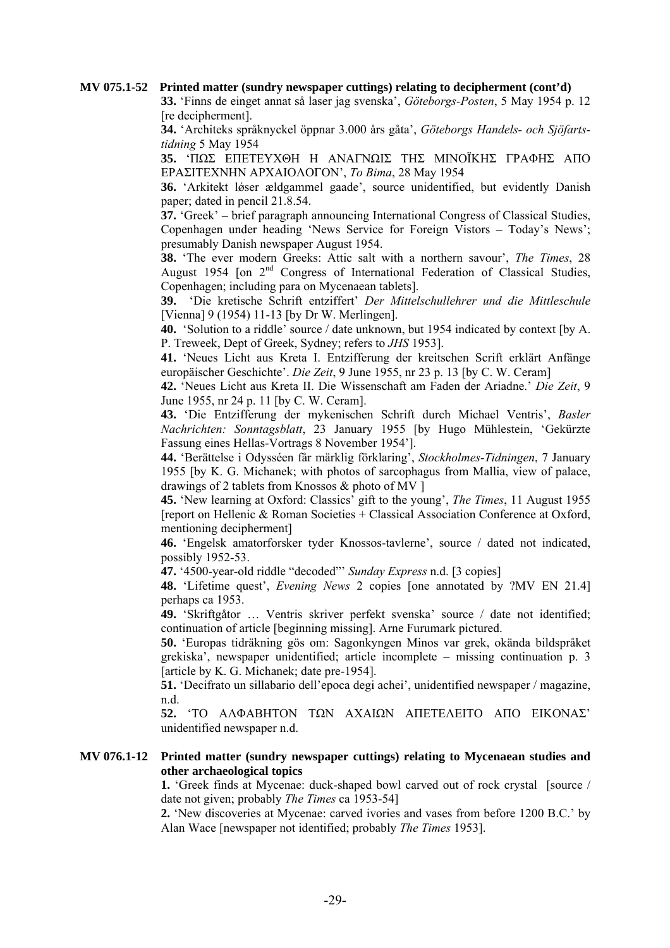#### **MV 075.1-52 Printed matter (sundry newspaper cuttings) relating to decipherment (cont'd)**

**33.** 'Finns de einget annat så laser jag svenska', *Göteborgs-Posten*, 5 May 1954 p. 12 [re decipherment].

**34.** 'Architeks språknyckel öppnar 3.000 års gåta', *Göteborgs Handels- och Sjöfartstidning* 5 May 1954

**35.** 'ΠΩΣ ΕΠΕΤΕΥΧΘΗ Η ΑΝΑΓΝΩΙΣ ΤΗΣ ΜΙΝΟΪΚΗΣ ΓΡΑΦΗΣ ΑΠΟ ΕΡΑΣΙΤΕΧΝΗΝ ΑΡΧΑΙΟΛΟΓΟΝ', *To Bima*, 28 May 1954

**36.** 'Arkitekt løser ældgammel gaade', source unidentified, but evidently Danish paper; dated in pencil 21.8.54.

**37.** 'Greek' – brief paragraph announcing International Congress of Classical Studies, Copenhagen under heading 'News Service for Foreign Vistors – Today's News'; presumably Danish newspaper August 1954.

**38.** 'The ever modern Greeks: Attic salt with a northern savour', *The Times*, 28 August 1954 [on 2<sup>nd</sup> Congress of International Federation of Classical Studies, Copenhagen; including para on Mycenaean tablets].

**39.** 'Die kretische Schrift entziffert' *Der Mittelschullehrer und die Mittleschule* [Vienna] 9 (1954) 11-13 [by Dr W. Merlingen].

**40.** 'Solution to a riddle' source / date unknown, but 1954 indicated by context [by A. P. Treweek, Dept of Greek, Sydney; refers to *JHS* 1953].

**41.** 'Neues Licht aus Kreta I. Entzifferung der kreitschen Scrift erklärt Anfänge europäischer Geschichte'. *Die Zeit*, 9 June 1955, nr 23 p. 13 [by C. W. Ceram]

**42.** 'Neues Licht aus Kreta II. Die Wissenschaft am Faden der Ariadne.' *Die Zeit*, 9 June 1955, nr 24 p. 11 [by C. W. Ceram].

**43.** 'Die Entzifferung der mykenischen Schrift durch Michael Ventris', *Basler Nachrichten: Sonntagsblatt*, 23 January 1955 [by Hugo Mühlestein, 'Gekürzte Fassung eines Hellas-Vortrags 8 November 1954'].

**44.** 'Berättelse i Odysséen får märklig förklaring', *Stockholmes-Tidningen*, 7 January 1955 [by K. G. Michanek; with photos of sarcophagus from Mallia, view of palace, drawings of 2 tablets from Knossos & photo of MV ]

**45.** 'New learning at Oxford: Classics' gift to the young', *The Times*, 11 August 1955 [report on Hellenic & Roman Societies + Classical Association Conference at Oxford, mentioning decipherment]

**46.** 'Engelsk amatorforsker tyder Knossos-tavlerne', source / dated not indicated, possibly 1952-53.

**47.** '4500-year-old riddle "decoded"' *Sunday Express* n.d. [3 copies]

**48.** 'Lifetime quest', *Evening News* 2 copies [one annotated by ?MV EN 21.4] perhaps ca 1953.

**49.** 'Skriftgåtor … Ventris skriver perfekt svenska' source / date not identified; continuation of article [beginning missing]. Arne Furumark pictured.

**50.** 'Europas tidräkning gös om: Sagonkyngen Minos var grek, okända bildspråket grekiska', newspaper unidentified; article incomplete – missing continuation p. 3 [article by K. G. Michanek; date pre-1954].

**51.** 'Decifrato un sillabario dell'epoca degi achei', unidentified newspaper / magazine, n.d.

**52.** 'ΤΟ ΑΛΦΑΒΗΤΟΝ ΤΩΝ ΑΧΑΙΩΝ ΑΠΕΤΕΛΕΙΤΟ ΑΠΟ ΕΙΚΟΝΑΣ' unidentified newspaper n.d.

# **MV 076.1-12 Printed matter (sundry newspaper cuttings) relating to Mycenaean studies and other archaeological topics**

 **1.** 'Greek finds at Mycenae: duck-shaped bowl carved out of rock crystal [source / date not given; probably *The Times* ca 1953-54]

**2.** 'New discoveries at Mycenae: carved ivories and vases from before 1200 B.C.' by Alan Wace [newspaper not identified; probably *The Times* 1953].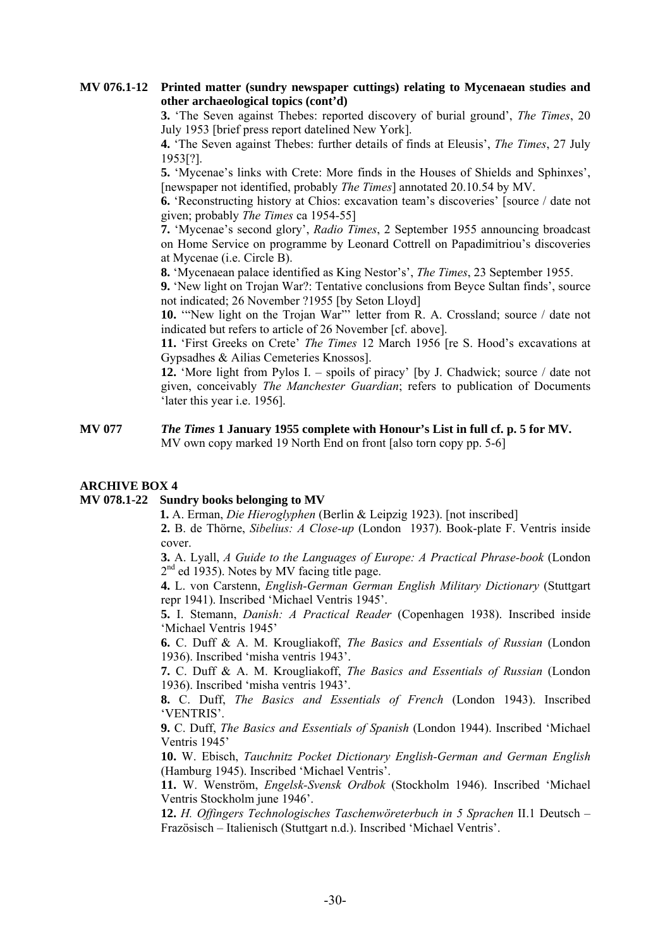# **MV 076.1-12 Printed matter (sundry newspaper cuttings) relating to Mycenaean studies and other archaeological topics (cont'd)**

**3.** 'The Seven against Thebes: reported discovery of burial ground', *The Times*, 20 July 1953 [brief press report datelined New York].

**4.** 'The Seven against Thebes: further details of finds at Eleusis', *The Times*, 27 July 1953[?].

**5.** 'Mycenae's links with Crete: More finds in the Houses of Shields and Sphinxes', [newspaper not identified, probably *The Times*] annotated 20.10.54 by MV.

**6.** 'Reconstructing history at Chios: excavation team's discoveries' [source / date not given; probably *The Times* ca 1954-55]

**7.** 'Mycenae's second glory', *Radio Times*, 2 September 1955 announcing broadcast on Home Service on programme by Leonard Cottrell on Papadimitriou's discoveries at Mycenae (i.e. Circle B).

**8.** 'Mycenaean palace identified as King Nestor's', *The Times*, 23 September 1955.

**9.** 'New light on Trojan War?: Tentative conclusions from Beyce Sultan finds', source not indicated; 26 November ?1955 [by Seton Lloyd]

**10.** '"New light on the Trojan War"' letter from R. A. Crossland; source / date not indicated but refers to article of 26 November [cf. above].

**11.** 'First Greeks on Crete' *The Times* 12 March 1956 [re S. Hood's excavations at Gypsadhes & Ailias Cemeteries Knossos].

**12.** 'More light from Pylos I. – spoils of piracy' [by J. Chadwick; source / date not given, conceivably *The Manchester Guardian*; refers to publication of Documents 'later this year i.e. 1956].

#### **MV 077** *The Times* **1 January 1955 complete with Honour's List in full cf. p. 5 for MV.**  MV own copy marked 19 North End on front [also torn copy pp. 5-6]

# **ARCHIVE BOX 4**

# **MV 078.1-22 Sundry books belonging to MV**

 **1.** A. Erman, *Die Hieroglyphen* (Berlin & Leipzig 1923). [not inscribed]

**2.** B. de Thörne, *Sibelius: A Close-up* (London 1937). Book-plate F. Ventris inside cover.

**3.** A. Lyall, *A Guide to the Languages of Europe: A Practical Phrase-book* (London  $2<sup>nd</sup>$  ed 1935). Notes by MV facing title page.

**4.** L. von Carstenn, *English-German German English Military Dictionary* (Stuttgart repr 1941). Inscribed 'Michael Ventris 1945'.

**5.** I. Stemann, *Danish: A Practical Reader* (Copenhagen 1938). Inscribed inside 'Michael Ventris 1945'

**6.** C. Duff & A. M. Krougliakoff, *The Basics and Essentials of Russian* (London 1936). Inscribed 'misha ventris 1943'.

**7.** C. Duff & A. M. Krougliakoff, *The Basics and Essentials of Russian* (London 1936). Inscribed 'misha ventris 1943'.

**8.** C. Duff, *The Basics and Essentials of French* (London 1943). Inscribed 'VENTRIS'.

**9.** C. Duff, *The Basics and Essentials of Spanish* (London 1944). Inscribed 'Michael Ventris 1945'

**10.** W. Ebisch, *Tauchnitz Pocket Dictionary English-German and German English* (Hamburg 1945). Inscribed 'Michael Ventris'.

**11.** W. Wenström, *Engelsk-Svensk Ordbok* (Stockholm 1946). Inscribed 'Michael Ventris Stockholm june 1946'.

**12.** *H. Offingers Technologisches Taschenwöreterbuch in 5 Sprachen* II.1 Deutsch – Frazösisch – Italienisch (Stuttgart n.d.). Inscribed 'Michael Ventris'.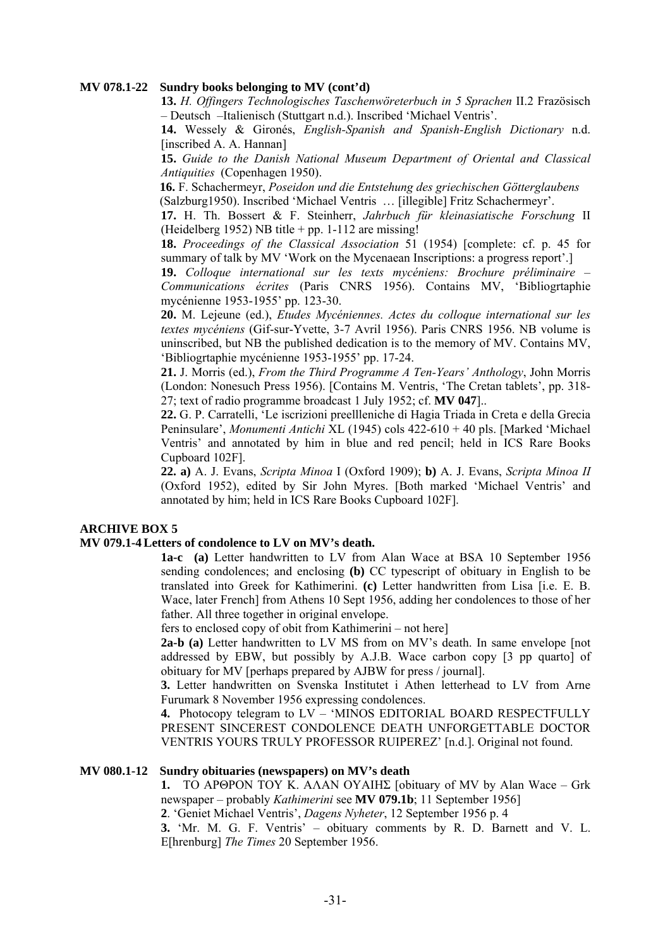#### **MV 078.1-22 Sundry books belonging to MV (cont'd)**

**13.** *H. Offingers Technologisches Taschenwöreterbuch in 5 Sprachen* II.2 Frazösisch – Deutsch –Italienisch (Stuttgart n.d.). Inscribed 'Michael Ventris'.

**14.** Wessely & Gironés, *English-Spanish and Spanish-English Dictionary* n.d. [inscribed A. A. Hannan]

**15.** *Guide to the Danish National Museum Department of Oriental and Classical Antiquities* (Copenhagen 1950).

 **16.** F. Schachermeyr, *Poseidon und die Entstehung des griechischen Götterglaubens* (Salzburg1950). Inscribed 'Michael Ventris … [illegible] Fritz Schachermeyr'.

**17.** H. Th. Bossert & F. Steinherr, *Jahrbuch für kleinasiatische Forschung* II (Heidelberg 1952) NB title  $+$  pp. 1-112 are missing!

**18.** *Proceedings of the Classical Association* 51 (1954) [complete: cf. p. 45 for summary of talk by MV 'Work on the Mycenaean Inscriptions: a progress report'.]

**19.** *Colloque international sur les texts mycéniens: Brochure préliminaire – Communications écrites* (Paris CNRS 1956). Contains MV, 'Bibliogrtaphie mycénienne 1953-1955' pp. 123-30.

**20.** M. Lejeune (ed.), *Etudes Mycéniennes. Actes du colloque international sur les textes mycéniens* (Gif-sur-Yvette, 3-7 Avril 1956). Paris CNRS 1956. NB volume is uninscribed, but NB the published dedication is to the memory of MV. Contains MV, 'Bibliogrtaphie mycénienne 1953-1955' pp. 17-24.

**21.** J. Morris (ed.), *From the Third Programme A Ten-Years' Anthology*, John Morris (London: Nonesuch Press 1956). [Contains M. Ventris, 'The Cretan tablets', pp. 318- 27; text of radio programme broadcast 1 July 1952; cf. **MV 047**]..

**22.** G. P. Carratelli, 'Le iscrizioni preellleniche di Hagia Triada in Creta e della Grecia Peninsulare', *Monumenti Antichi* XL (1945) cols 422-610 + 40 pls. [Marked 'Michael Ventris' and annotated by him in blue and red pencil; held in ICS Rare Books Cupboard 102F].

**22. a)** A. J. Evans, *Scripta Minoa* I (Oxford 1909); **b)** A. J. Evans, *Scripta Minoa II*  (Oxford 1952), edited by Sir John Myres. [Both marked 'Michael Ventris' and annotated by him; held in ICS Rare Books Cupboard 102F].

# **ARCHIVE BOX 5**

#### **MV 079.1-4 Letters of condolence to LV on MV's death.**

**1a-c (a)** Letter handwritten to LV from Alan Wace at BSA 10 September 1956 sending condolences; and enclosing **(b)** CC typescript of obituary in English to be translated into Greek for Kathimerini. **(c)** Letter handwritten from Lisa [i.e. E. B. Wace, later French] from Athens 10 Sept 1956, adding her condolences to those of her father. All three together in original envelope.

fers to enclosed copy of obit from Kathimerini – not here]

**2a-b (a)** Letter handwritten to LV MS from on MV's death. In same envelope [not addressed by EBW, but possibly by A.J.B. Wace carbon copy [3 pp quarto] of obituary for MV [perhaps prepared by AJBW for press / journal].

**3.** Letter handwritten on Svenska Institutet i Athen letterhead to LV from Arne Furumark 8 November 1956 expressing condolences.

**4.** Photocopy telegram to LV – 'MINOS EDITORIAL BOARD RESPECTFULLY PRESENT SINCEREST CONDOLENCE DEATH UNFORGETTABLE DOCTOR VENTRIS YOURS TRULY PROFESSOR RUIPEREZ' [n.d.]. Original not found.

#### **MV 080.1-12 Sundry obituaries (newspapers) on MV's death**

**1.** ΤΟ ΑΡΘΡΟΝ ΤΟΥ Κ. ΑΛΑΝ ΟΥΑΙΗΣ [obituary of MV by Alan Wace – Grk newspaper – probably *Kathimerini* see **MV 079.1b**; 11 September 1956]

**2**. 'Geniet Michael Ventris', *Dagens Nyheter*, 12 September 1956 p. 4

**3.** 'Mr. M. G. F. Ventris' – obituary comments by R. D. Barnett and V. L. E[hrenburg] *The Times* 20 September 1956.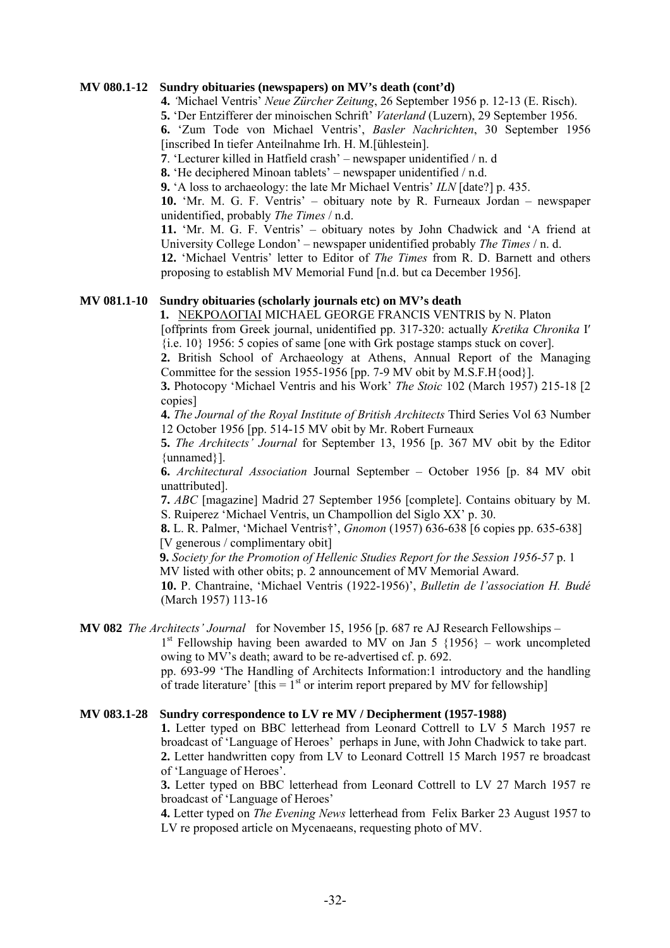#### **MV 080.1-12 Sundry obituaries (newspapers) on MV's death (cont'd)**

**4.** *'*Michael Ventris' *Neue Zürcher Zeitung*, 26 September 1956 p. 12-13 (E. Risch).

**5.** 'Der Entzifferer der minoischen Schrift' *Vaterland* (Luzern), 29 September 1956.

**6.** 'Zum Tode von Michael Ventris', *Basler Nachrichten*, 30 September 1956 [inscribed In tiefer Anteilnahme Irh. H. M.[ühlestein].

**7**. 'Lecturer killed in Hatfield crash' – newspaper unidentified / n. d

**8.** 'He deciphered Minoan tablets' – newspaper unidentified / n.d.

**9.** 'A loss to archaeology: the late Mr Michael Ventris' *ILN* [date?] p. 435.

**10.** 'Mr. M. G. F. Ventris' – obituary note by R. Furneaux Jordan – newspaper unidentified, probably *The Times* / n.d.

**11.** 'Mr. M. G. F. Ventris' – obituary notes by John Chadwick and 'A friend at University College London' – newspaper unidentified probably *The Times* / n. d.

**12.** 'Michael Ventris' letter to Editor of *The Times* from R. D. Barnett and others proposing to establish MV Memorial Fund [n.d. but ca December 1956].

#### **MV 081.1-10 Sundry obituaries (scholarly journals etc) on MV's death**

**1.** ΝΕΚΡΟΛΟΓΙΑΙ MICHAEL GEORGE FRANCIS VENTRIS by N. Platon

[offprints from Greek journal, unidentified pp. 317-320: actually *Kretika Chronika* Ι′ {i.e. 10} 1956: 5 copies of same [one with Grk postage stamps stuck on cover].

**2.** British School of Archaeology at Athens, Annual Report of the Managing Committee for the session 1955-1956 [pp. 7-9 MV obit by  $M.S.F.H\{ood\}$ ].

**3.** Photocopy 'Michael Ventris and his Work' *The Stoic* 102 (March 1957) 215-18 [2 copies]

**4.** *The Journal of the Royal Institute of British Architects* Third Series Vol 63 Number 12 October 1956 [pp. 514-15 MV obit by Mr. Robert Furneaux

**5.** *The Architects' Journal* for September 13, 1956 [p. 367 MV obit by the Editor {unnamed}].

**6.** *Architectural Association* Journal September – October 1956 [p. 84 MV obit unattributed].

**7.** *ABC* [magazine] Madrid 27 September 1956 [complete]. Contains obituary by M. S. Ruiperez 'Michael Ventris, un Champollion del Siglo XX' p. 30.

**8.** L. R. Palmer, 'Michael Ventris†', *Gnomon* (1957) 636-638 [6 copies pp. 635-638] [V generous / complimentary obit]

 **9.** *Society for the Promotion of Hellenic Studies Report for the Session 1956-57* p. 1 MV listed with other obits; p. 2 announcement of MV Memorial Award.

**10.** P. Chantraine, 'Michael Ventris (1922-1956)', *Bulletin de l'association H. Budé*  (March 1957) 113-16

**MV 082** *The Architects' Journal* for November 15, 1956 [p. 687 re AJ Research Fellowships –

 $1<sup>st</sup>$  Fellowship having been awarded to MV on Jan 5 {1956} – work uncompleted owing to MV's death; award to be re-advertised cf. p. 692.

pp. 693-99 'The Handling of Architects Information:1 introductory and the handling of trade literature' [this =  $1<sup>st</sup>$  or interim report prepared by MV for fellowship]

#### **MV 083.1-28 Sundry correspondence to LV re MV / Decipherment (1957-1988)**

**1.** Letter typed on BBC letterhead from Leonard Cottrell to LV 5 March 1957 re broadcast of 'Language of Heroes' perhaps in June, with John Chadwick to take part. **2.** Letter handwritten copy from LV to Leonard Cottrell 15 March 1957 re broadcast of 'Language of Heroes'.

**3.** Letter typed on BBC letterhead from Leonard Cottrell to LV 27 March 1957 re broadcast of 'Language of Heroes'

**4.** Letter typed on *The Evening News* letterhead from Felix Barker 23 August 1957 to LV re proposed article on Mycenaeans, requesting photo of MV.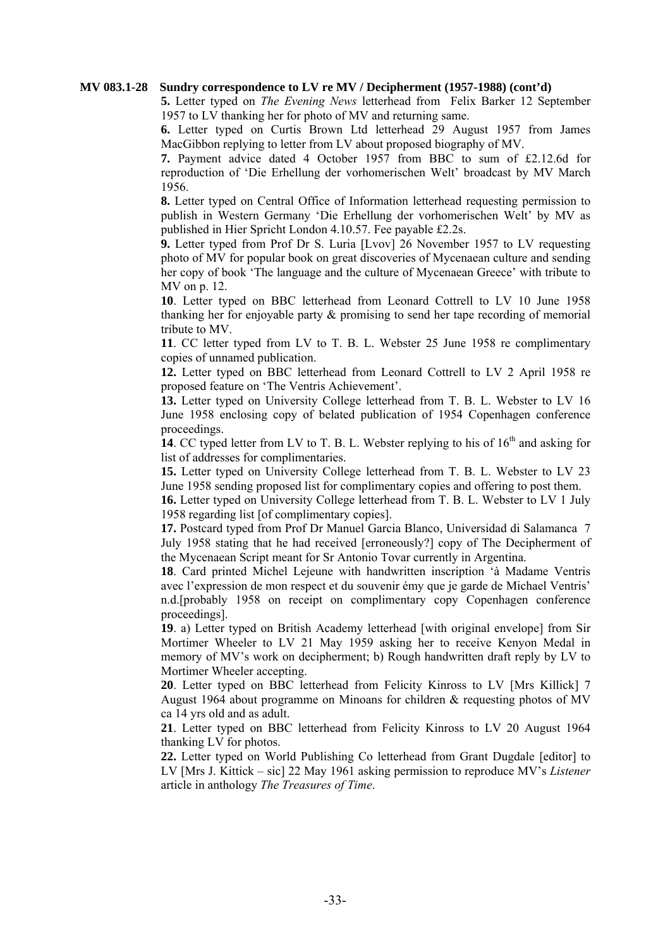#### **MV 083.1-28 Sundry correspondence to LV re MV / Decipherment (1957-1988) (cont'd)**

**5.** Letter typed on *The Evening News* letterhead from Felix Barker 12 September 1957 to LV thanking her for photo of MV and returning same.

**6.** Letter typed on Curtis Brown Ltd letterhead 29 August 1957 from James MacGibbon replying to letter from LV about proposed biography of MV.

**7.** Payment advice dated 4 October 1957 from BBC to sum of £2.12.6d for reproduction of 'Die Erhellung der vorhomerischen Welt' broadcast by MV March 1956.

**8.** Letter typed on Central Office of Information letterhead requesting permission to publish in Western Germany 'Die Erhellung der vorhomerischen Welt' by MV as published in Hier Spricht London 4.10.57. Fee payable £2.2s.

**9.** Letter typed from Prof Dr S. Luria [Lvov] 26 November 1957 to LV requesting photo of MV for popular book on great discoveries of Mycenaean culture and sending her copy of book 'The language and the culture of Mycenaean Greece' with tribute to MV on p. 12.

**10**. Letter typed on BBC letterhead from Leonard Cottrell to LV 10 June 1958 thanking her for enjoyable party & promising to send her tape recording of memorial tribute to MV.

**11**. CC letter typed from LV to T. B. L. Webster 25 June 1958 re complimentary copies of unnamed publication.

**12.** Letter typed on BBC letterhead from Leonard Cottrell to LV 2 April 1958 re proposed feature on 'The Ventris Achievement'.

**13.** Letter typed on University College letterhead from T. B. L. Webster to LV 16 June 1958 enclosing copy of belated publication of 1954 Copenhagen conference proceedings.

**14**. CC typed letter from LV to T. B. L. Webster replying to his of  $16<sup>th</sup>$  and asking for list of addresses for complimentaries.

**15.** Letter typed on University College letterhead from T. B. L. Webster to LV 23 June 1958 sending proposed list for complimentary copies and offering to post them.

**16.** Letter typed on University College letterhead from T. B. L. Webster to LV 1 July 1958 regarding list [of complimentary copies].

**17.** Postcard typed from Prof Dr Manuel Garcia Blanco, Universidad di Salamanca 7 July 1958 stating that he had received [erroneously?] copy of The Decipherment of the Mycenaean Script meant for Sr Antonio Tovar currently in Argentina.

**18**. Card printed Michel Lejeune with handwritten inscription 'à Madame Ventris avec l'expression de mon respect et du souvenir émy que je garde de Michael Ventris' n.d.[probably 1958 on receipt on complimentary copy Copenhagen conference proceedings].

**19**. a) Letter typed on British Academy letterhead [with original envelope] from Sir Mortimer Wheeler to LV 21 May 1959 asking her to receive Kenyon Medal in memory of MV's work on decipherment; b) Rough handwritten draft reply by LV to Mortimer Wheeler accepting.

**20**. Letter typed on BBC letterhead from Felicity Kinross to LV [Mrs Killick] 7 August 1964 about programme on Minoans for children & requesting photos of MV ca 14 yrs old and as adult.

**21**. Letter typed on BBC letterhead from Felicity Kinross to LV 20 August 1964 thanking LV for photos.

**22.** Letter typed on World Publishing Co letterhead from Grant Dugdale [editor] to LV [Mrs J. Kittick – sic] 22 May 1961 asking permission to reproduce MV's *Listener* article in anthology *The Treasures of Time*.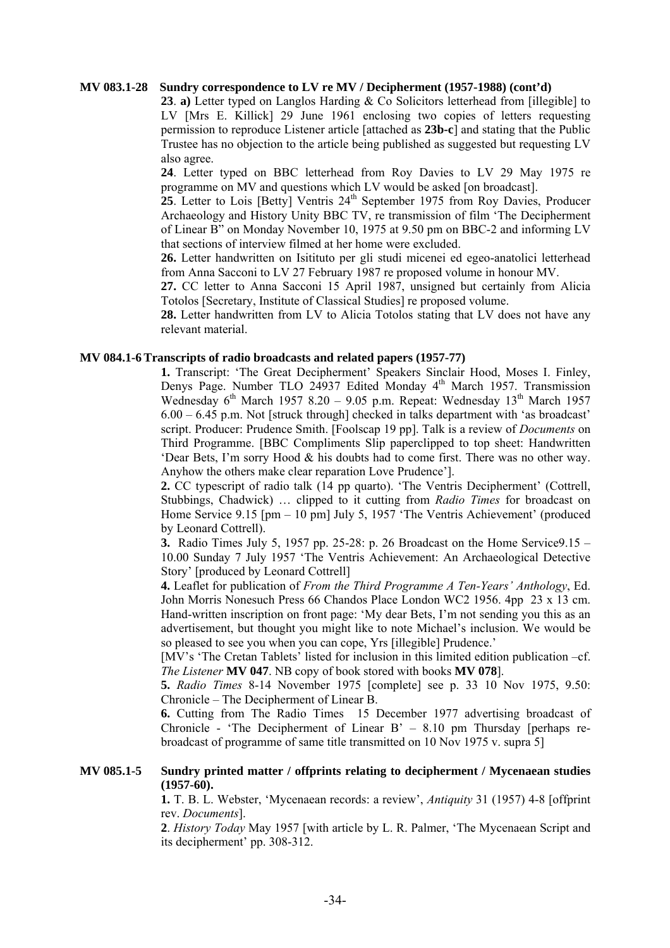# **MV 083.1-28 Sundry correspondence to LV re MV / Decipherment (1957-1988) (cont'd)**

**23**. **a)** Letter typed on Langlos Harding & Co Solicitors letterhead from [illegible] to LV [Mrs E. Killick] 29 June 1961 enclosing two copies of letters requesting permission to reproduce Listener article [attached as **23b-c**] and stating that the Public Trustee has no objection to the article being published as suggested but requesting LV also agree.

**24**. Letter typed on BBC letterhead from Roy Davies to LV 29 May 1975 re programme on MV and questions which LV would be asked [on broadcast].

 $25$ . Letter to Lois [Betty] Ventris  $24<sup>th</sup>$  September 1975 from Roy Davies, Producer Archaeology and History Unity BBC TV, re transmission of film 'The Decipherment of Linear B" on Monday November 10, 1975 at 9.50 pm on BBC-2 and informing LV that sections of interview filmed at her home were excluded.

**26.** Letter handwritten on Isitituto per gli studi micenei ed egeo-anatolici letterhead from Anna Sacconi to LV 27 February 1987 re proposed volume in honour MV.

**27.** CC letter to Anna Sacconi 15 April 1987, unsigned but certainly from Alicia Totolos [Secretary, Institute of Classical Studies] re proposed volume.

**28.** Letter handwritten from LV to Alicia Totolos stating that LV does not have any relevant material.

#### **MV 084.1-6 Transcripts of radio broadcasts and related papers (1957-77)**

**1.** Transcript: 'The Great Decipherment' Speakers Sinclair Hood, Moses I. Finley, Denys Page. Number TLO 24937 Edited Monday 4<sup>th</sup> March 1957. Transmission Wednesday  $6^{th}$  March 1957 8.20 – 9.05 p.m. Repeat: Wednesday 13<sup>th</sup> March 1957  $6.00 - 6.45$  p.m. Not [struck through] checked in talks department with 'as broadcast' script. Producer: Prudence Smith. [Foolscap 19 pp]. Talk is a review of *Documents* on Third Programme. [BBC Compliments Slip paperclipped to top sheet: Handwritten 'Dear Bets, I'm sorry Hood & his doubts had to come first. There was no other way. Anyhow the others make clear reparation Love Prudence'].

 **2.** CC typescript of radio talk (14 pp quarto). 'The Ventris Decipherment' (Cottrell, Stubbings, Chadwick) … clipped to it cutting from *Radio Times* for broadcast on Home Service 9.15 [pm – 10 pm] July 5, 1957 'The Ventris Achievement' (produced by Leonard Cottrell).

 **3.** Radio Times July 5, 1957 pp. 25-28: p. 26 Broadcast on the Home Service9.15 – 10.00 Sunday 7 July 1957 'The Ventris Achievement: An Archaeological Detective Story' [produced by Leonard Cottrell]

**4.** Leaflet for publication of *From the Third Programme A Ten-Years' Anthology*, Ed. John Morris Nonesuch Press 66 Chandos Place London WC2 1956. 4pp 23 x 13 cm. Hand-written inscription on front page: 'My dear Bets, I'm not sending you this as an advertisement, but thought you might like to note Michael's inclusion. We would be so pleased to see you when you can cope, Yrs [illegible] Prudence.'

[MV's 'The Cretan Tablets' listed for inclusion in this limited edition publication –cf. *The Listener* **MV 047**. NB copy of book stored with books **MV 078**].

**5.** *Radio Times* 8-14 November 1975 [complete] see p. 33 10 Nov 1975, 9.50: Chronicle – The Decipherment of Linear B.

**6.** Cutting from The Radio Times 15 December 1977 advertising broadcast of Chronicle - 'The Decipherment of Linear  $B' - 8.10$  pm Thursday [perhaps rebroadcast of programme of same title transmitted on 10 Nov 1975 v. supra 5]

# **MV 085.1-5 Sundry printed matter / offprints relating to decipherment / Mycenaean studies (1957-60).**

**1.** T. B. L. Webster, 'Mycenaean records: a review', *Antiquity* 31 (1957) 4-8 [offprint rev. *Documents*].

**2**. *History Today* May 1957 [with article by L. R. Palmer, 'The Mycenaean Script and its decipherment' pp. 308-312.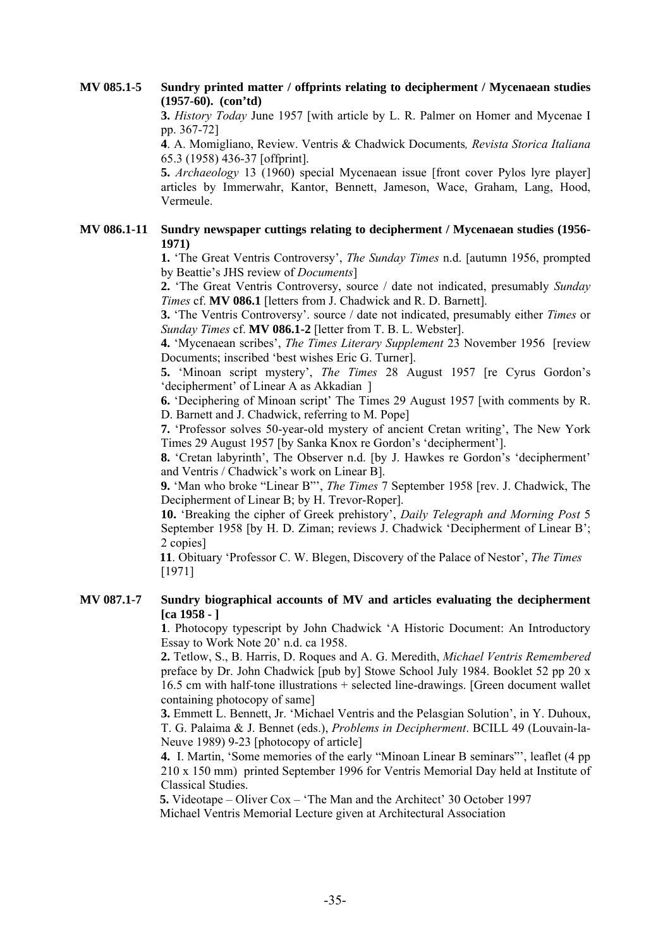# **MV 085.1-5 Sundry printed matter / offprints relating to decipherment / Mycenaean studies (1957-60). (con'td)**

**3.** *History Today* June 1957 [with article by L. R. Palmer on Homer and Mycenae I pp. 367-72]

**4**. A. Momigliano, Review. Ventris & Chadwick Documents*, Revista Storica Italiana* 65.3 (1958) 436-37 [offprint].

**5.** *Archaeology* 13 (1960) special Mycenaean issue [front cover Pylos lyre player] articles by Immerwahr, Kantor, Bennett, Jameson, Wace, Graham, Lang, Hood, Vermeule.

# **MV 086.1-11 Sundry newspaper cuttings relating to decipherment / Mycenaean studies (1956- 1971)**

 **1.** 'The Great Ventris Controversy', *The Sunday Times* n.d. [autumn 1956, prompted by Beattie's JHS review of *Documents*]

**2.** 'The Great Ventris Controversy, source / date not indicated, presumably *Sunday Times* cf. **MV 086.1** [letters from J. Chadwick and R. D. Barnett].

**3.** 'The Ventris Controversy'. source / date not indicated, presumably either *Times* or *Sunday Times* cf. **MV 086.1-2** [letter from T. B. L. Webster].

**4.** 'Mycenaean scribes', *The Times Literary Supplement* 23 November 1956 [review Documents; inscribed 'best wishes Eric G. Turner].

**5.** 'Minoan script mystery', *The Times* 28 August 1957 [re Cyrus Gordon's 'decipherment' of Linear A as Akkadian ]

**6.** 'Deciphering of Minoan script' The Times 29 August 1957 [with comments by R. D. Barnett and J. Chadwick, referring to M. Pope]

**7.** 'Professor solves 50-year-old mystery of ancient Cretan writing', The New York Times 29 August 1957 [by Sanka Knox re Gordon's 'decipherment'].

**8.** 'Cretan labyrinth', The Observer n.d. [by J. Hawkes re Gordon's 'decipherment' and Ventris / Chadwick's work on Linear B].

**9.** 'Man who broke "Linear B"', *The Times* 7 September 1958 [rev. J. Chadwick, The Decipherment of Linear B; by H. Trevor-Roper].

 **10.** 'Breaking the cipher of Greek prehistory', *Daily Telegraph and Morning Post* 5 September 1958 [by H. D. Ziman; reviews J. Chadwick 'Decipherment of Linear B'; 2 copies]

 **11**. Obituary 'Professor C. W. Blegen, Discovery of the Palace of Nestor', *The Times* [1971]

# **MV 087.1-7 Sundry biographical accounts of MV and articles evaluating the decipherment [ca 1958 - ]**

**1**. Photocopy typescript by John Chadwick 'A Historic Document: An Introductory Essay to Work Note 20' n.d. ca 1958.

**2.** Tetlow, S., B. Harris, D. Roques and A. G. Meredith, *Michael Ventris Remembered* preface by Dr. John Chadwick [pub by] Stowe School July 1984. Booklet 52 pp 20 x 16.5 cm with half-tone illustrations + selected line-drawings. [Green document wallet containing photocopy of same]

**3.** Emmett L. Bennett, Jr. 'Michael Ventris and the Pelasgian Solution', in Y. Duhoux, T. G. Palaima & J. Bennet (eds.), *Problems in Decipherment*. BCILL 49 (Louvain-la-Neuve 1989) 9-23 [photocopy of article]

**4.** I. Martin, 'Some memories of the early "Minoan Linear B seminars"', leaflet (4 pp 210 x 150 mm) printed September 1996 for Ventris Memorial Day held at Institute of Classical Studies.

 **5.** Videotape – Oliver Cox – 'The Man and the Architect' 30 October 1997 Michael Ventris Memorial Lecture given at Architectural Association